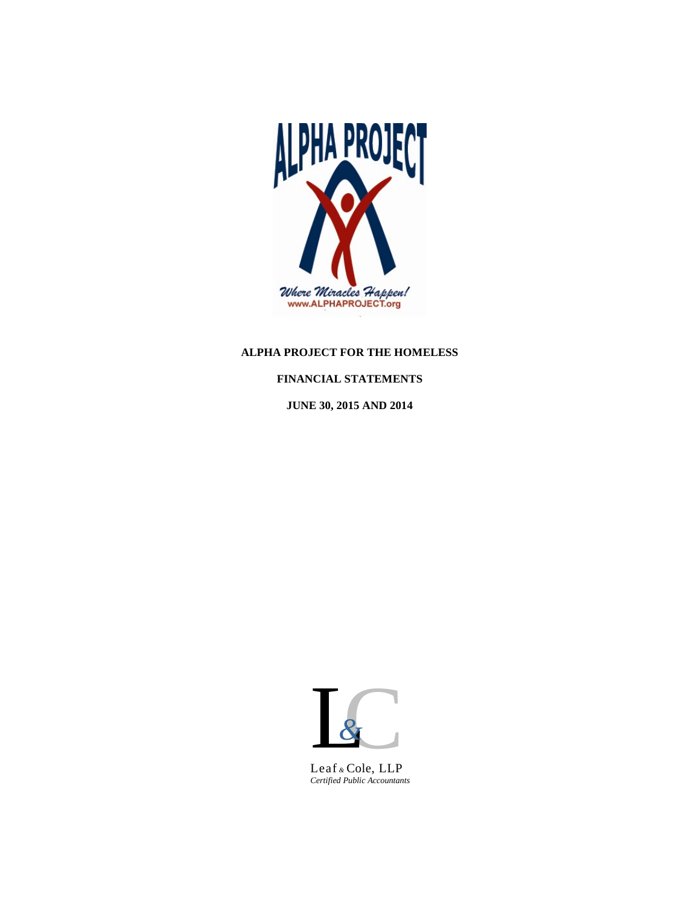

# **ALPHA PROJECT FOR THE HOMELESS**

# **FINANCIAL STATEMENTS**

**JUNE 30, 2015 AND 2014**



*Certified Public Accountants*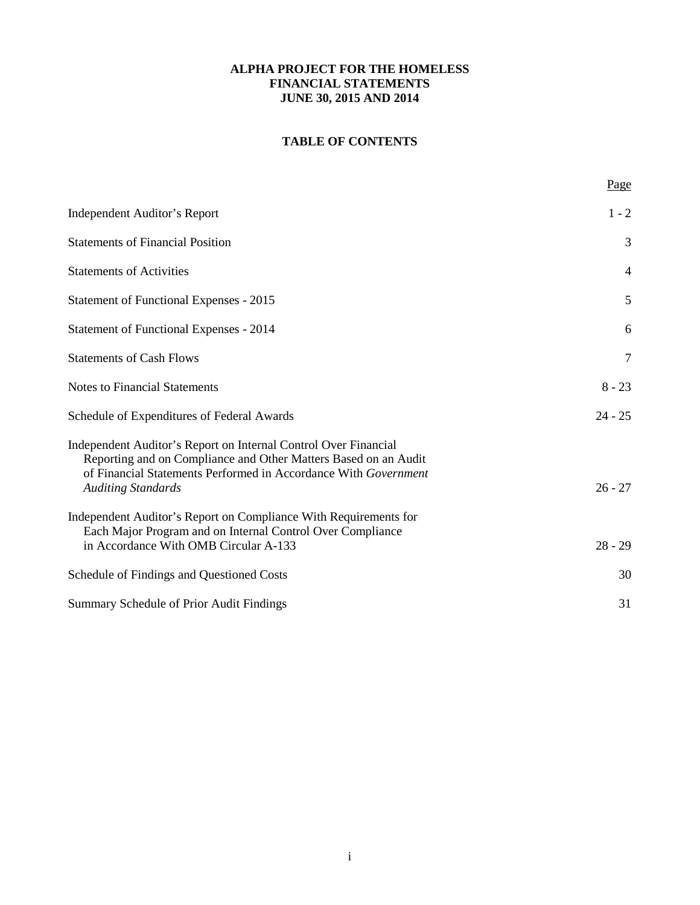# **TABLE OF CONTENTS**

|                                                                                                                                                                                                                                    | Page      |
|------------------------------------------------------------------------------------------------------------------------------------------------------------------------------------------------------------------------------------|-----------|
| <b>Independent Auditor's Report</b>                                                                                                                                                                                                | $1 - 2$   |
| <b>Statements of Financial Position</b>                                                                                                                                                                                            | 3         |
| <b>Statements of Activities</b>                                                                                                                                                                                                    | 4         |
| Statement of Functional Expenses - 2015                                                                                                                                                                                            | 5         |
| <b>Statement of Functional Expenses - 2014</b>                                                                                                                                                                                     | 6         |
| <b>Statements of Cash Flows</b>                                                                                                                                                                                                    | 7         |
| <b>Notes to Financial Statements</b>                                                                                                                                                                                               | $8 - 23$  |
| Schedule of Expenditures of Federal Awards                                                                                                                                                                                         | $24 - 25$ |
| Independent Auditor's Report on Internal Control Over Financial<br>Reporting and on Compliance and Other Matters Based on an Audit<br>of Financial Statements Performed in Accordance With Government<br><b>Auditing Standards</b> | $26 - 27$ |
| Independent Auditor's Report on Compliance With Requirements for<br>Each Major Program and on Internal Control Over Compliance<br>in Accordance With OMB Circular A-133                                                            | $28 - 29$ |
| Schedule of Findings and Questioned Costs                                                                                                                                                                                          | 30        |
| Summary Schedule of Prior Audit Findings                                                                                                                                                                                           | 31        |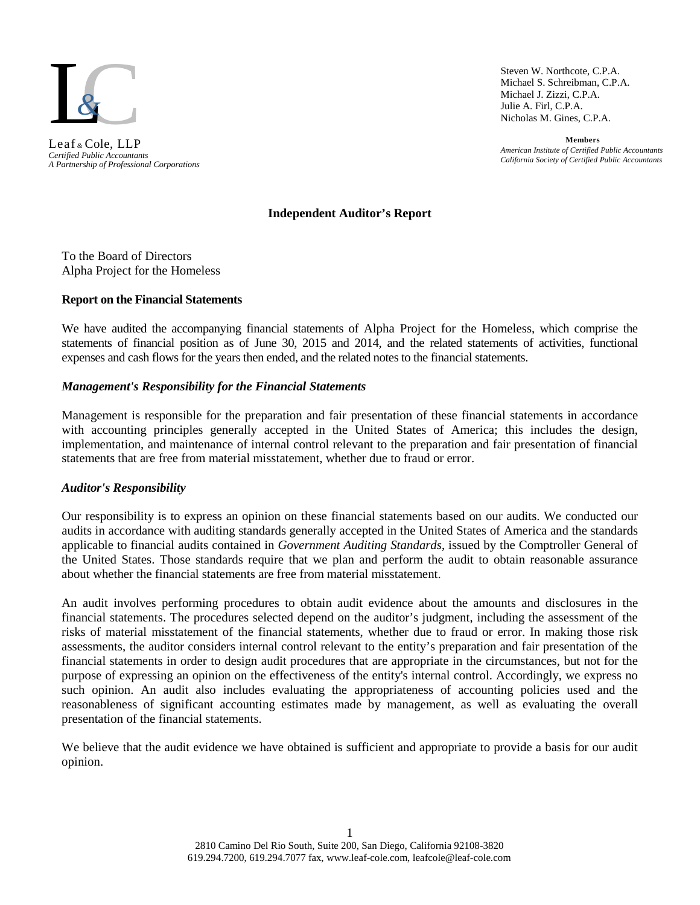

*A Partnership of Professional Corporations* Leaf *&* Cole, LLP

Steven W. Northcote, C.P.A. Michael S. Schreibman, C.P.A. Michael J. Zizzi, C.P.A. Julie A. Firl, C.P.A. Nicholas M. Gines, C.P.A.

**Members** *American Institute of Certified Public Accountants California Society of Certified Public Accountants Certified Public Accountants*

# **Independent Auditor's Report**

To the Board of Directors Alpha Project for the Homeless

#### **Report on the Financial Statements**

We have audited the accompanying financial statements of Alpha Project for the Homeless, which comprise the statements of financial position as of June 30, 2015 and 2014, and the related statements of activities, functional expenses and cash flows for the years then ended, and the related notes to the financial statements.

#### *Management's Responsibility for the Financial Statements*

Management is responsible for the preparation and fair presentation of these financial statements in accordance with accounting principles generally accepted in the United States of America; this includes the design, implementation, and maintenance of internal control relevant to the preparation and fair presentation of financial statements that are free from material misstatement, whether due to fraud or error.

# *Auditor's Responsibility*

Our responsibility is to express an opinion on these financial statements based on our audits. We conducted our audits in accordance with auditing standards generally accepted in the United States of America and the standards applicable to financial audits contained in *Government Auditing Standards*, issued by the Comptroller General of the United States. Those standards require that we plan and perform the audit to obtain reasonable assurance about whether the financial statements are free from material misstatement.

An audit involves performing procedures to obtain audit evidence about the amounts and disclosures in the financial statements. The procedures selected depend on the auditor's judgment, including the assessment of the risks of material misstatement of the financial statements, whether due to fraud or error. In making those risk assessments, the auditor considers internal control relevant to the entity's preparation and fair presentation of the financial statements in order to design audit procedures that are appropriate in the circumstances, but not for the purpose of expressing an opinion on the effectiveness of the entity's internal control. Accordingly, we express no such opinion. An audit also includes evaluating the appropriateness of accounting policies used and the reasonableness of significant accounting estimates made by management, as well as evaluating the overall presentation of the financial statements.

We believe that the audit evidence we have obtained is sufficient and appropriate to provide a basis for our audit opinion.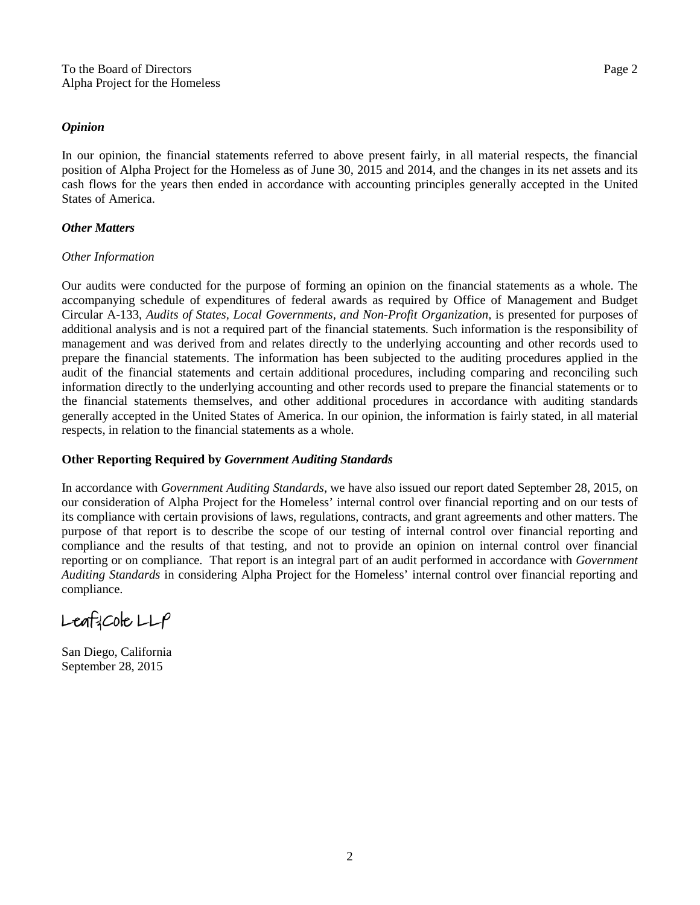#### *Opinion*

In our opinion, the financial statements referred to above present fairly, in all material respects, the financial position of Alpha Project for the Homeless as of June 30, 2015 and 2014, and the changes in its net assets and its cash flows for the years then ended in accordance with accounting principles generally accepted in the United States of America.

# *Other Matters*

# *Other Information*

Our audits were conducted for the purpose of forming an opinion on the financial statements as a whole. The accompanying schedule of expenditures of federal awards as required by Office of Management and Budget Circular A-133, *Audits of States, Local Governments, and Non-Profit Organization,* is presented for purposes of additional analysis and is not a required part of the financial statements*.* Such information is the responsibility of management and was derived from and relates directly to the underlying accounting and other records used to prepare the financial statements. The information has been subjected to the auditing procedures applied in the audit of the financial statements and certain additional procedures, including comparing and reconciling such information directly to the underlying accounting and other records used to prepare the financial statements or to the financial statements themselves, and other additional procedures in accordance with auditing standards generally accepted in the United States of America. In our opinion, the information is fairly stated, in all material respects, in relation to the financial statements as a whole.

# **Other Reporting Required by** *Government Auditing Standards*

In accordance with *Government Auditing Standards*, we have also issued our report dated September 28, 2015, on our consideration of Alpha Project for the Homeless' internal control over financial reporting and on our tests of its compliance with certain provisions of laws, regulations, contracts, and grant agreements and other matters. The purpose of that report is to describe the scope of our testing of internal control over financial reporting and compliance and the results of that testing, and not to provide an opinion on internal control over financial reporting or on compliance. That report is an integral part of an audit performed in accordance with *Government Auditing Standards* in considering Alpha Project for the Homeless' internal control over financial reporting and compliance.

 $L$ eaf cole  $LLP$ 

San Diego, California September 28, 2015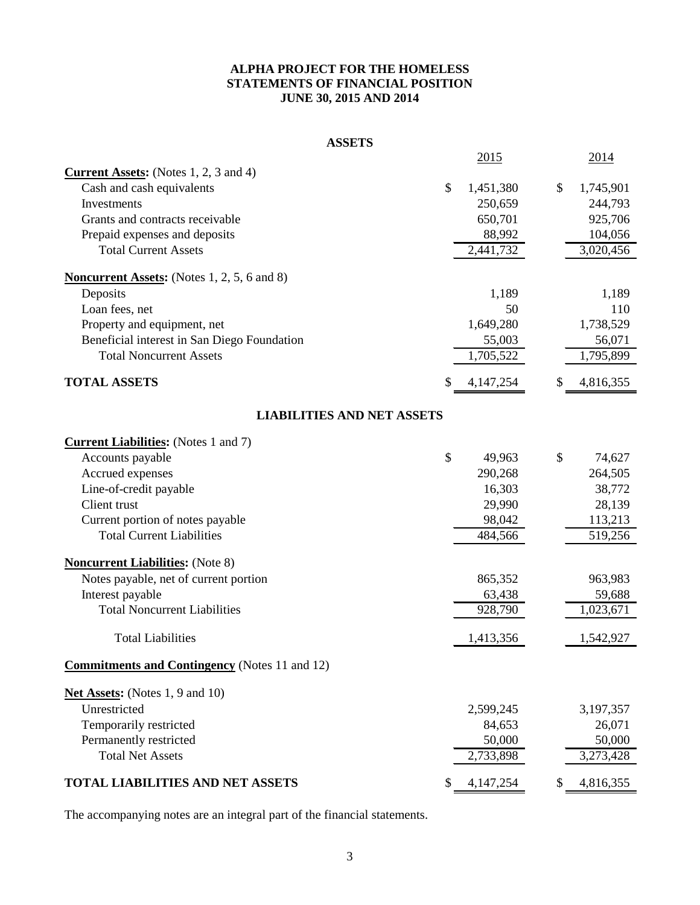# **ALPHA PROJECT FOR THE HOMELESS STATEMENTS OF FINANCIAL POSITION JUNE 30, 2015 AND 2014**

#### **ASSETS**

|                                                      |               | 2015        |    | 2014      |
|------------------------------------------------------|---------------|-------------|----|-----------|
| <b>Current Assets:</b> (Notes $1, 2, 3$ and $4$ )    |               |             |    |           |
| Cash and cash equivalents                            | $\mathcal{S}$ | 1,451,380   | \$ | 1,745,901 |
| Investments                                          |               | 250,659     |    | 244,793   |
| Grants and contracts receivable                      |               | 650,701     |    | 925,706   |
| Prepaid expenses and deposits                        |               | 88,992      |    | 104,056   |
| <b>Total Current Assets</b>                          |               | 2,441,732   |    | 3,020,456 |
| <b>Noncurrent Assets:</b> (Notes 1, 2, 5, 6 and 8)   |               |             |    |           |
| Deposits                                             |               | 1,189       |    | 1,189     |
| Loan fees, net                                       |               | 50          |    | 110       |
| Property and equipment, net                          |               | 1,649,280   |    | 1,738,529 |
| Beneficial interest in San Diego Foundation          |               | 55,003      |    | 56,071    |
| <b>Total Noncurrent Assets</b>                       |               | 1,705,522   |    | 1,795,899 |
| <b>TOTAL ASSETS</b>                                  | S             | 4, 147, 254 | S  | 4,816,355 |
| <b>LIABILITIES AND NET ASSETS</b>                    |               |             |    |           |
| <b>Current Liabilities:</b> (Notes 1 and 7)          |               |             |    |           |
| Accounts payable                                     | \$            | 49,963      | \$ | 74,627    |
| Accrued expenses                                     |               | 290,268     |    | 264,505   |
| Line-of-credit payable                               |               | 16,303      |    | 38,772    |
| Client trust                                         |               | 29,990      |    | 28,139    |
| Current portion of notes payable                     |               | 98,042      |    | 113,213   |
| <b>Total Current Liabilities</b>                     |               | 484,566     |    | 519,256   |
| <b>Noncurrent Liabilities:</b> (Note 8)              |               |             |    |           |
| Notes payable, net of current portion                |               | 865,352     |    | 963,983   |
| Interest payable                                     |               | 63,438      |    | 59,688    |
| <b>Total Noncurrent Liabilities</b>                  |               | 928,790     |    | 1,023,671 |
| <b>Total Liabilities</b>                             |               | 1,413,356   |    | 1,542,927 |
| <b>Commitments and Contingency</b> (Notes 11 and 12) |               |             |    |           |
| Net Assets: (Notes 1, 9 and 10)                      |               |             |    |           |
| Unrestricted                                         |               | 2,599,245   |    | 3,197,357 |
| Temporarily restricted                               |               | 84,653      |    | 26,071    |
| Permanently restricted                               |               | 50,000      |    | 50,000    |
| <b>Total Net Assets</b>                              |               | 2,733,898   |    | 3,273,428 |
| <b>TOTAL LIABILITIES AND NET ASSETS</b>              | \$            | 4,147,254   | \$ | 4,816,355 |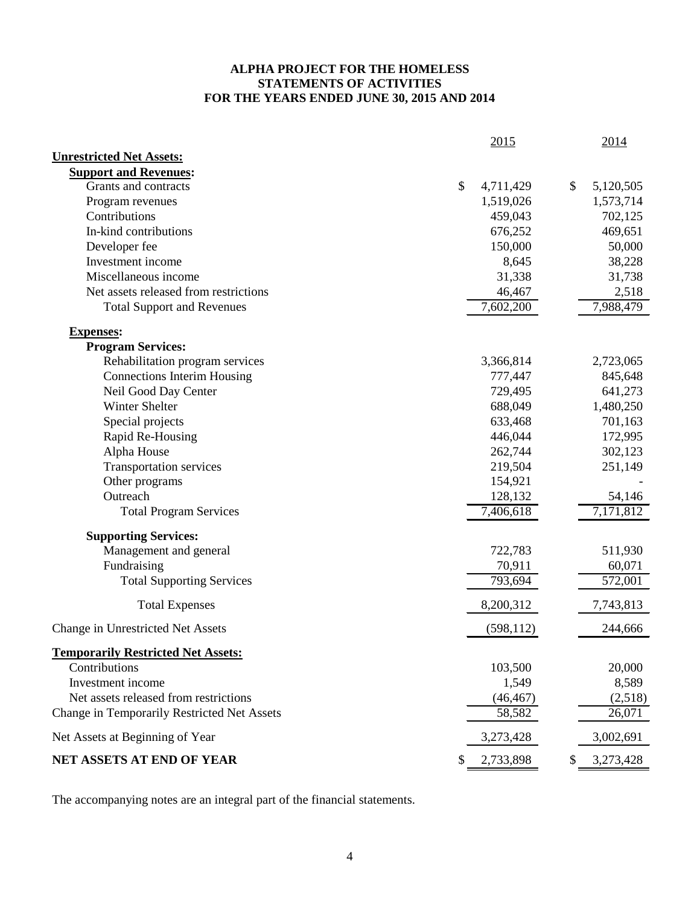# **ALPHA PROJECT FOR THE HOMELESS STATEMENTS OF ACTIVITIES FOR THE YEARS ENDED JUNE 30, 2015 AND 2014**

|                                             | <u>2015</u>            | 2014                   |
|---------------------------------------------|------------------------|------------------------|
| <b>Unrestricted Net Assets:</b>             |                        |                        |
| <b>Support and Revenues:</b>                |                        |                        |
| Grants and contracts                        | \$<br>4,711,429        | \$<br>5,120,505        |
| Program revenues                            | 1,519,026              | 1,573,714              |
| Contributions                               | 459,043                | 702,125                |
| In-kind contributions                       | 676,252                | 469,651                |
| Developer fee                               | 150,000                | 50,000                 |
| Investment income                           | 8,645                  | 38,228                 |
| Miscellaneous income                        | 31,338                 | 31,738                 |
| Net assets released from restrictions       | 46,467                 | 2,518                  |
| <b>Total Support and Revenues</b>           | 7,602,200              | 7,988,479              |
| <b>Expenses:</b>                            |                        |                        |
| <b>Program Services:</b>                    |                        |                        |
| Rehabilitation program services             | 3,366,814              | 2,723,065              |
| <b>Connections Interim Housing</b>          | 777,447                | 845,648                |
| Neil Good Day Center                        | 729,495                | 641,273                |
| Winter Shelter                              | 688,049                | 1,480,250              |
| Special projects                            | 633,468                | 701,163                |
| Rapid Re-Housing                            | 446,044                | 172,995                |
| Alpha House                                 | 262,744                | 302,123                |
| <b>Transportation services</b>              | 219,504                | 251,149                |
| Other programs                              | 154,921                |                        |
| Outreach                                    | 128,132                | 54,146                 |
| <b>Total Program Services</b>               | $\overline{7,}406,618$ | $\overline{7,}171,812$ |
| <b>Supporting Services:</b>                 |                        |                        |
| Management and general                      | 722,783                | 511,930                |
| Fundraising                                 | 70,911                 | 60,071                 |
| <b>Total Supporting Services</b>            | 793,694                | 572,001                |
| <b>Total Expenses</b>                       | 8,200,312              | 7,743,813              |
| Change in Unrestricted Net Assets           | (598, 112)             | 244,666                |
| <b>Temporarily Restricted Net Assets:</b>   |                        |                        |
| Contributions                               | 103,500                | 20,000                 |
| Investment income                           | 1,549                  | 8,589                  |
| Net assets released from restrictions       | (46, 467)              | (2,518)                |
| Change in Temporarily Restricted Net Assets | 58,582                 | 26,071                 |
| Net Assets at Beginning of Year             | 3,273,428              | 3,002,691              |
| NET ASSETS AT END OF YEAR                   | \$<br>2,733,898        | \$<br>3,273,428        |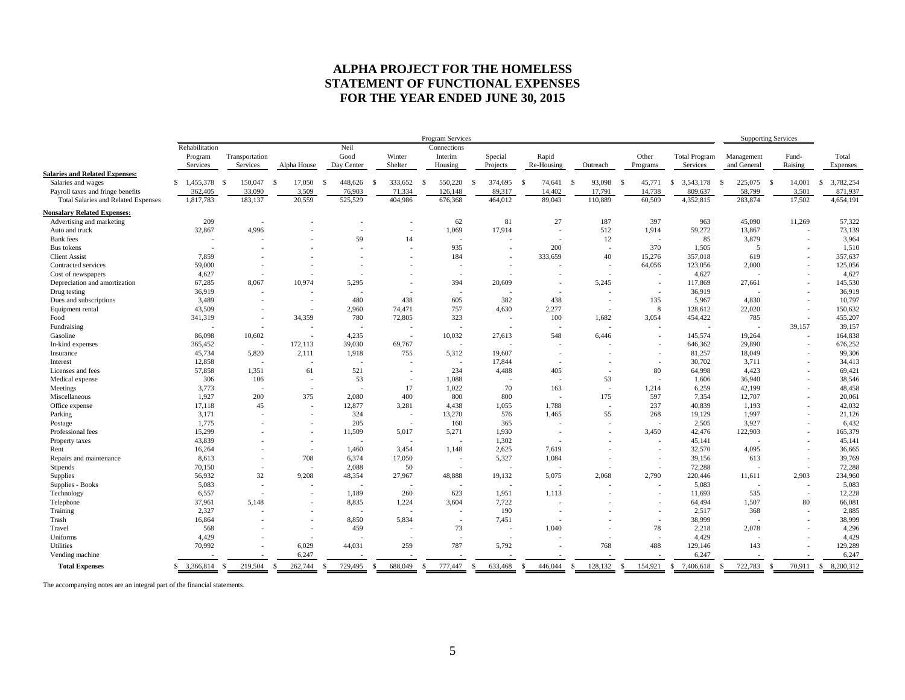# **ALPHA PROJECT FOR THE HOMELESS STATEMENT OF FUNCTIONAL EXPENSES FOR THE YEAR ENDED JUNE 30, 2015**

|                                            |                 |                          |                          |                          |                          | Program Services         |                          |                          |                          |                          |                           | <b>Supporting Services</b> |                          |                           |
|--------------------------------------------|-----------------|--------------------------|--------------------------|--------------------------|--------------------------|--------------------------|--------------------------|--------------------------|--------------------------|--------------------------|---------------------------|----------------------------|--------------------------|---------------------------|
|                                            | Rehabilitation  |                          |                          | Neil                     |                          | Connections              |                          |                          |                          |                          |                           |                            |                          |                           |
|                                            | Program         | Transportation           |                          | Good                     | Winter                   | Interim                  | Special                  | Rapid                    |                          | Other                    | <b>Total Program</b>      | Management                 | Fund-                    | Total                     |
|                                            | Services        | Services                 | Alpha House              | Day Center               | Shelter                  | Housing                  | Projects                 | Re-Housing               | Outreach                 | Programs                 | Services                  | and General                | Raising                  | Expenses                  |
| <b>Salaries and Related Expenses:</b>      |                 |                          |                          |                          |                          |                          |                          |                          |                          |                          |                           |                            |                          |                           |
| Salaries and wages                         | \$1,455,378     | 150,047<br>-S            | 17,050<br>-S             | 448,626<br><sup>\$</sup> | 333,652<br>-S            | 550,220<br>- \$          | 374,695<br>- \$          | 74,641<br>-S             | 93,098<br>- \$           | 45,771<br>- \$           | 3,543,178<br>-S           | 225,075<br>- \$            | 14,001<br>- \$           | 3,782,254<br>\$           |
| Payroll taxes and fringe benefits          | 362,405         | 33,090                   | 3,509                    | 76,903                   | 71,334                   | 126,148                  | 89,317                   | 14,402                   | 17,791                   | 14,738                   | 809,637                   | 58,799                     | 3,501                    | 871,937                   |
| <b>Total Salaries and Related Expenses</b> | 1,817,783       | 183,137                  | 20,559                   | 525,529                  | 404,986                  | 676,368                  | 464,012                  | 89,043                   | 110,889                  | 60,509                   | 4,352,815                 | 283,874                    | 17,502                   | 4,654,191                 |
| <b>Nonsalary Related Expenses:</b>         |                 |                          |                          |                          |                          |                          |                          |                          |                          |                          |                           |                            |                          |                           |
| Advertising and marketing                  | 209             |                          |                          |                          |                          | 62                       | 81                       | 27                       | 187                      | 397                      | 963                       | 45,090                     | 11.269                   | 57,322                    |
| Auto and truck                             | 32,867          | 4,996                    |                          |                          | $\overline{\phantom{a}}$ | 1,069                    | 17.914                   | $\overline{a}$           | 512                      | 1,914                    | 59,272                    | 13,867                     | $\overline{\phantom{a}}$ | 73,139                    |
| <b>Bank</b> fees                           |                 |                          |                          | 59                       | 14                       | $\overline{\phantom{a}}$ |                          | $\overline{\phantom{a}}$ | 12                       | $\overline{\phantom{a}}$ | 85                        | 3,879                      | $\overline{\phantom{a}}$ | 3,964                     |
| Bus tokens                                 | $\sim$          |                          |                          |                          | ÷                        | 935                      | $\overline{\phantom{a}}$ | 200                      | $\sim$                   | 370                      | 1,505                     | 5                          | $\overline{a}$           | 1,510                     |
| <b>Client Assist</b>                       | 7,859           |                          |                          |                          | ÷                        | 184                      | $\overline{\phantom{a}}$ | 333,659                  | 40                       | 15,276                   | 357,018                   | 619                        | $\overline{\phantom{a}}$ | 357,637                   |
| Contracted services                        | 59,000          |                          |                          |                          |                          | $\overline{a}$           | $\overline{\phantom{a}}$ |                          | $\overline{\phantom{a}}$ | 64,056                   | 123,056                   | 2,000                      | $\overline{\phantom{a}}$ | 125,056                   |
| Cost of newspapers                         | 4,627           |                          |                          |                          |                          | ٠                        |                          |                          | $\sim$                   |                          | 4,627                     |                            | ٠                        | 4,627                     |
| Depreciation and amortization              | 67,285          | 8,067                    | 10,974                   | 5,295                    |                          | 394                      | 20,609                   |                          | 5,245                    | $\overline{\phantom{a}}$ | 117,869                   | 27,661                     | $\overline{\phantom{a}}$ | 145,530                   |
| Drug testing                               | 36,919          | $\sim$                   |                          | $\overline{\phantom{a}}$ | $\overline{\phantom{a}}$ | $\overline{\phantom{a}}$ |                          | $\overline{\phantom{a}}$ |                          | $\sim$                   | 36,919                    |                            | $\overline{\phantom{a}}$ | 36,919                    |
| Dues and subscriptions                     | 3,489           |                          |                          | 480                      | 438                      | 605                      | 382                      | 438                      |                          | 135                      | 5,967                     | 4.830                      | $\overline{\phantom{a}}$ | 10,797                    |
| Equipment rental                           | 43,509          |                          |                          | 2,960                    | 74,471                   | 757                      | 4.630                    | 2,277                    | $\overline{\phantom{a}}$ | 8                        | 128,612                   | 22,020                     | $\overline{\phantom{a}}$ | 150,632                   |
| Food                                       | 341,319         |                          | 34,359                   | 780                      | 72,805                   | 323                      | $\overline{\phantom{a}}$ | 100                      | 1,682                    | 3,054                    | 454,422                   | 785                        | $\overline{\phantom{a}}$ | 455,207                   |
| Fundraising                                |                 |                          |                          | $\overline{\phantom{a}}$ |                          | $\overline{a}$           | ÷,                       | $\overline{a}$           |                          | $\sim$                   |                           |                            | 39.157                   | 39,157                    |
| Gasoline                                   | 86,098          | 10,602                   |                          | 4,235                    | $\overline{\phantom{a}}$ | 10,032                   | 27,613                   | 548                      | 6,446                    | $\overline{\phantom{a}}$ | 145,574                   | 19,264                     |                          | 164,838                   |
| In-kind expenses                           | 365,452         | $\sim$                   | 172,113                  | 39,030                   | 69,767                   | $\overline{\phantom{a}}$ |                          |                          |                          |                          | 646,362                   | 29,890                     |                          | 676,252                   |
| Insurance                                  | 45,734          | 5,820                    | 2,111                    | 1,918                    | 755                      | 5,312                    | 19,607                   | $\overline{\phantom{a}}$ |                          | $\sim$                   | 81,257                    | 18,049                     | $\overline{\phantom{a}}$ | 99,306                    |
| Interest                                   | 12,858          | $\sim$                   |                          | $\overline{\phantom{a}}$ | $\overline{\phantom{a}}$ | $\sim$                   | 17,844                   |                          |                          | $\overline{\phantom{a}}$ | 30,702                    | 3,711                      |                          | 34,413                    |
| Licenses and fees                          | 57,858          | 1.351                    | 61                       | 521                      | $\overline{\phantom{a}}$ | 234                      | 4.488                    | 405                      | $\overline{\phantom{a}}$ | 80                       | 64,998                    | 4.423                      | ٠                        | 69,421                    |
| Medical expense                            | 306             | 106                      |                          | 53                       | $\overline{\phantom{a}}$ | 1.088                    |                          | $\overline{\phantom{a}}$ | 53                       | $\overline{\phantom{a}}$ | 1,606                     | 36,940                     |                          | 38,546                    |
| Meetings                                   | 3,773           | $\sim$                   | $\sim$                   | $\sim$                   | 17                       | 1.022                    | 70                       | 163                      | $\overline{\phantom{a}}$ | 1,214                    | 6,259                     | 42,199                     | $\overline{a}$           | 48,458                    |
| Miscellaneous                              | 1,927           | 200                      | 375                      | 2,080                    | 400                      | 800                      | 800                      | ٠                        | 175                      | 597                      | 7,354                     | 12,707                     | ٠                        | 20,061                    |
| Office expense                             | 17,118          | 45                       | $\sim$                   | 12,877                   | 3,281                    | 4,438                    | 1,055                    | 1,788                    | $\sim$                   | 237                      | 40,839                    | 1.193                      | $\overline{a}$           | 42,032                    |
| Parking                                    | 3,171           |                          |                          | 324                      | $\overline{\phantom{a}}$ | 13,270                   | 576                      | 1,465                    | 55                       | 268                      | 19,129                    | 1,997                      |                          | 21,126                    |
| Postage                                    | 1,775           |                          | $\sim$                   | 205                      | $\sim$                   | 160                      | 365                      |                          |                          | $\overline{\phantom{a}}$ | 2,505                     | 3,927                      | $\overline{\phantom{a}}$ | 6,432                     |
| Professional fees                          | 15,299          |                          |                          | 11,509                   | 5.017                    | 5,271                    | 1,930                    |                          |                          | 3.450                    | 42,476                    | 122,903                    |                          | 165,379                   |
| Property taxes                             | 43,839          |                          | $\sim$                   | $\sim$                   | $\overline{\phantom{a}}$ | $\overline{\phantom{a}}$ | 1,302                    | $\overline{\phantom{a}}$ |                          | $\sim$                   | 45,141                    |                            | $\overline{\phantom{a}}$ | 45,141                    |
| Rent                                       | 16,264          |                          | $\sim$                   | 1,460                    | 3,454                    | 1,148                    | 2,625                    | 7,619                    |                          | $\sim$                   | 32,570                    | 4,095                      | $\overline{\phantom{a}}$ | 36,665                    |
| Repairs and maintenance                    | 8,613           |                          | 708                      | 6,374                    | 17,050                   | $\overline{\phantom{a}}$ | 5,327                    | 1,084                    |                          | $\overline{\phantom{a}}$ | 39,156                    | 613                        | $\overline{\phantom{a}}$ | 39,769                    |
| Stipends                                   | 70,150          | $\overline{\phantom{a}}$ |                          | 2,088                    | 50                       | $\overline{\phantom{a}}$ | $\overline{\phantom{a}}$ | $\overline{\phantom{a}}$ |                          | $\sim$                   | 72,288                    |                            |                          | 72,288                    |
| Supplies                                   | 56,932          | 32                       | 9,208                    | 48,354                   | 27,967                   | 48,888                   | 19,132                   | 5,075                    | 2,068                    | 2,790                    | 220,446                   | 11,611                     | 2,903                    | 234,960                   |
| Supplies - Books                           | 5,083           |                          |                          | $\sim$                   |                          | $\overline{a}$           |                          |                          |                          |                          | 5,083                     |                            |                          | 5,083                     |
| Technology                                 | 6,557           | $\sim$                   | $\sim$                   | 1,189                    | 260                      | 623                      | 1,951                    | 1,113                    |                          | $\sim$                   | 11,693                    | 535                        | $\overline{\phantom{a}}$ | 12,228                    |
| Telephone                                  | 37,961          | 5,148                    |                          | 8,835                    | 1,224                    | 3.604                    | 7,722                    | $\overline{\phantom{a}}$ |                          |                          | 64,494                    | 1,507                      | 80                       | 66,081                    |
| Training                                   | 2,327           |                          |                          | $\overline{\phantom{a}}$ | $\overline{\phantom{a}}$ | $\overline{\phantom{a}}$ | 190                      |                          |                          | $\sim$                   | 2,517                     | 368                        | $\overline{\phantom{a}}$ | 2,885                     |
| Trash                                      | 16,864          |                          |                          | 8,850                    | 5.834                    | $\overline{\phantom{a}}$ | 7,451                    |                          |                          | $\overline{\phantom{a}}$ | 38,999                    |                            |                          | 38,999                    |
| Travel                                     | 568             |                          | $\overline{\phantom{a}}$ | 459                      | $\overline{\phantom{a}}$ | 73                       | $\overline{\phantom{a}}$ | 1,040                    |                          | 78                       | 2,218                     | 2,078                      | $\overline{\phantom{a}}$ | 4,296                     |
| Uniforms                                   | 4,429           |                          |                          |                          |                          | $\overline{\phantom{a}}$ |                          |                          |                          | $\overline{\phantom{a}}$ | 4,429                     |                            |                          | 4,429                     |
| <b>Utilities</b>                           | 70,992          |                          | 6,029                    | 44,031                   | 259                      | 787                      | 5,792                    |                          | 768                      | 488                      | 129,146                   | 143                        |                          | 129,289                   |
| Vending machine                            |                 |                          | 6,247                    |                          |                          |                          |                          |                          |                          |                          | 6,247                     |                            |                          | 6,247                     |
| <b>Total Expenses</b>                      | 3,366,814<br>\$ | 219,504<br>- \$          | \$.<br>262,744           | 729,495<br>S             | 688,049<br>£.            | 777,447<br>.S            | 633,468<br>-S            | 446,044<br>-S            | 128,132<br>-S            | 154,921<br>$\mathcal{S}$ | $\mathbb{S}$<br>7,406,618 | 722,783<br><sup>\$</sup>   | 70,911<br>-S             | 8,200,312<br>$\mathbf{s}$ |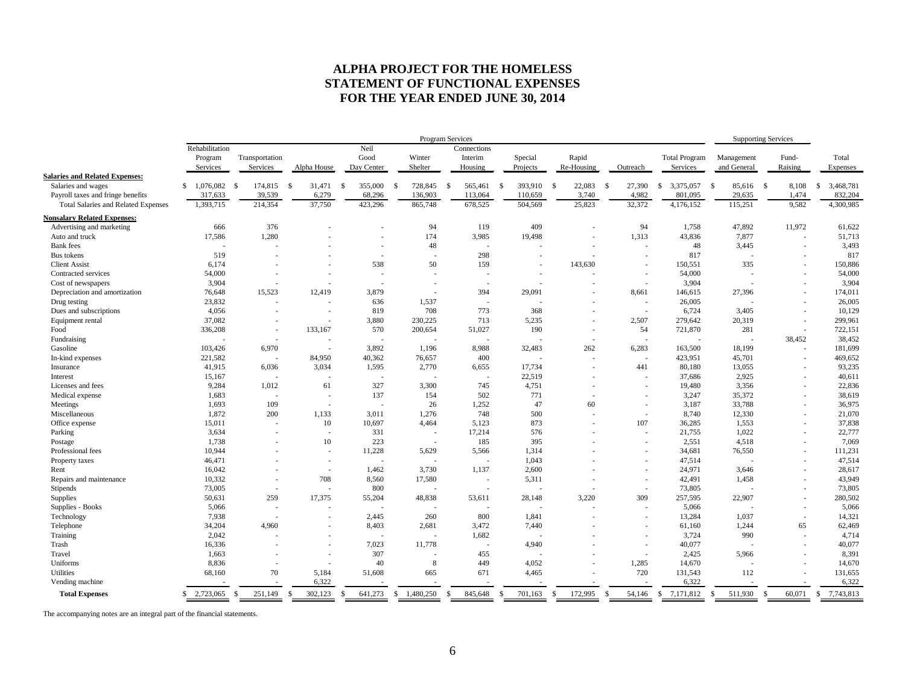# **ALPHA PROJECT FOR THE HOMELESS STATEMENT OF FUNCTIONAL EXPENSES FOR THE YEAR ENDED JUNE 30, 2014**

|                                            |                     |      |                            |                          |               |                    |    | Program Services         |    |                          |               |                          |      |                     |               |                          |                                  |               | <b>Supporting Services</b> |               |                  |                   |
|--------------------------------------------|---------------------|------|----------------------------|--------------------------|---------------|--------------------|----|--------------------------|----|--------------------------|---------------|--------------------------|------|---------------------|---------------|--------------------------|----------------------------------|---------------|----------------------------|---------------|------------------|-------------------|
|                                            | Rehabilitation      |      |                            |                          |               | Neil               |    |                          |    | Connections              |               |                          |      |                     |               |                          |                                  |               |                            |               |                  |                   |
|                                            | Program<br>Services |      | Transportation<br>Services | Alpha House              |               | Good<br>Day Center |    | Winter<br>Shelter        |    | Interim<br>Housing       |               | Special<br>Projects      |      | Rapid<br>Re-Housing |               | Outreach                 | <b>Total Program</b><br>Services |               | Management<br>and General  |               | Fund-<br>Raising | Total<br>Expenses |
| <b>Salaries and Related Expenses:</b>      |                     |      |                            |                          |               |                    |    |                          |    |                          |               |                          |      |                     |               |                          |                                  |               |                            |               |                  |                   |
| Salaries and wages                         | \$1,076,082         | - \$ | 174,815                    | -S<br>31,471             | \$            | 355,000            | -S | 728,845                  | -S | 565,461                  | - \$          | 393,910                  | - \$ | 22,083              | <sup>\$</sup> | 27,390                   | 3,375,057<br>-S                  | -\$           | 85,616 \$                  |               | 8,108            | 3,468,781<br>s.   |
| Payroll taxes and fringe benefits          | 317,633             |      | 39,539                     | 6,279                    |               | 68,296             |    | 136,903                  |    | 113,064                  |               | 110,659                  |      | 3,740               |               | 4,982                    | 801,095                          |               | 29,635                     |               | 1,474            | 832,204           |
| <b>Total Salaries and Related Expenses</b> | 1,393,715           |      | 214,354                    | 37,750                   |               | 423,296            |    | 865,748                  |    | 678.525                  |               | 504,569                  |      | 25,823              |               | 32,372                   | 4,176,152                        |               | 115,251                    |               | 9.582            | 4,300,985         |
| <b>Nonsalary Related Expenses:</b>         |                     |      |                            |                          |               |                    |    |                          |    |                          |               |                          |      |                     |               |                          |                                  |               |                            |               |                  |                   |
| Advertising and marketing                  | 666                 |      | 376                        |                          |               |                    |    | 94                       |    | 119                      |               | 409                      |      |                     |               | 94                       | 1,758                            |               | 47,892                     |               | 11,972           | 61,622            |
| Auto and truck                             | 17,586              |      | 1,280                      |                          |               |                    |    | 174                      |    | 3,985                    |               | 19,498                   |      |                     |               | 1,313                    | 43,836                           |               | 7,877                      |               |                  | 51,713            |
| <b>Bank</b> fees                           |                     |      |                            |                          |               |                    |    | 48                       |    |                          |               |                          |      |                     |               | $\overline{\phantom{a}}$ | 48                               |               | 3,445                      |               |                  | 3,493             |
| Bus tokens                                 | 519                 |      |                            |                          |               | $\sim$             |    | $\overline{\phantom{a}}$ |    | 298                      |               | $\blacksquare$           |      |                     |               | $\overline{\phantom{a}}$ | 817                              |               |                            |               |                  | 817               |
| <b>Client Assist</b>                       | 6,174               |      |                            |                          |               | 538                |    | 50                       |    | 159                      |               |                          |      | 143,630             |               | ÷,                       | 150,551                          |               | 335                        |               |                  | 150,886           |
| Contracted services                        | 54,000              |      |                            |                          |               |                    |    |                          |    | ٠                        |               | $\overline{a}$           |      |                     |               | $\overline{\phantom{a}}$ | 54,000                           |               |                            |               |                  | 54,000            |
| Cost of newspapers                         | 3,904               |      |                            |                          |               |                    |    |                          |    | ٠                        |               |                          |      |                     |               | $\overline{\phantom{a}}$ | 3,904                            |               |                            |               |                  | 3,904             |
| Depreciation and amortization              | 76,648              |      | 15,523                     | 12,419                   |               | 3,879              |    | $\overline{\phantom{a}}$ |    | 394                      |               | 29,091                   |      |                     |               | 8,661                    | 146,615                          |               | 27,396                     |               |                  | 174,011           |
| Drug testing                               | 23,832              |      | $\overline{\phantom{a}}$   | $\blacksquare$           |               | 636                |    | 1,537                    |    | ÷.                       |               | $\overline{\phantom{a}}$ |      |                     |               | $\sim$                   | 26,005                           |               |                            |               |                  | 26,005            |
| Dues and subscriptions                     | 4,056               |      | ٠                          |                          |               | 819                |    | 708                      |    | 773                      |               | 368                      |      |                     |               | ×.                       | 6,724                            |               | 3,405                      |               |                  | 10,129            |
| Equipment rental                           | 37,082              |      |                            |                          |               | 3,880              |    | 230,225                  |    | 713                      |               | 5,235                    |      |                     |               | 2,507                    | 279,642                          |               | 20,319                     |               |                  | 299,961           |
| Food                                       | 336,208             |      | $\overline{\phantom{a}}$   | 133,167                  |               | 570                |    | 200,654                  |    | 51,027                   |               | 190                      |      |                     |               | 54                       | 721,870                          |               | 281                        |               |                  | 722,151           |
| Fundraising                                |                     |      |                            |                          |               |                    |    |                          |    |                          |               |                          |      |                     |               | $\overline{\phantom{a}}$ |                                  |               |                            |               | 38.452           | 38,452            |
| Gasoline                                   | 103,426             |      | 6,970                      | $\overline{\phantom{a}}$ |               | 3,892              |    | 1.196                    |    | 8,988                    |               | 32,483                   |      | 262                 |               | 6,283                    | 163,500                          |               | 18,199                     |               |                  | 181,699           |
| In-kind expenses                           | 221,582             |      | ÷.                         | 84,950                   |               | 40,362             |    | 76,657                   |    | 400                      |               | $\overline{a}$           |      |                     |               | ×.                       | 423,951                          |               | 45,701                     |               |                  | 469,652           |
| Insurance                                  | 41,915              |      | 6,036                      | 3,034                    |               | 1,595              |    | 2,770                    |    | 6,655                    |               | 17,734                   |      |                     |               | 441                      | 80,180                           |               | 13,055                     |               |                  | 93,235            |
| Interest                                   | 15,167              |      | $\overline{\phantom{a}}$   | $\blacksquare$           |               |                    |    |                          |    | $\overline{\phantom{a}}$ |               | 22,519                   |      |                     |               | $\overline{\phantom{a}}$ | 37,686                           |               | 2,925                      |               |                  | 40,611            |
| Licenses and fees                          | 9.284               |      | 1,012                      | 61                       |               | 327                |    | 3.300                    |    | 745                      |               | 4,751                    |      |                     |               | $\overline{\phantom{a}}$ | 19.480                           |               | 3,356                      |               |                  | 22,836            |
| Medical expense                            | 1,683               |      | J.                         | $\sim$                   |               | 137                |    | 154                      |    | 502                      |               | 771                      |      |                     |               |                          | 3,247                            |               | 35,372                     |               |                  | 38,619            |
| Meetings                                   | 1,693               |      | 109                        | $\sim$                   |               |                    |    | 26                       |    | 1,252                    |               | 47                       |      | 60                  |               | $\overline{\phantom{a}}$ | 3,187                            |               | 33,788                     |               | $\sim$           | 36,975            |
| Miscellaneous                              | 1,872               |      | 200                        | 1,133                    |               | 3,011              |    | 1,276                    |    | 748                      |               | 500                      |      |                     |               | $\sim$                   | 8,740                            |               | 12,330                     |               |                  | 21,070            |
| Office expense                             | 15,011              |      | $\overline{\phantom{a}}$   | 10                       |               | 10,697             |    | 4,464                    |    | 5,123                    |               | 873                      |      |                     |               | 107                      | 36,285                           |               | 1,553                      |               |                  | 37,838            |
| Parking                                    | 3,634               |      |                            | $\sim$                   |               | 331                |    | $\overline{\phantom{a}}$ |    | 17,214                   |               | 576                      |      |                     |               | $\overline{\phantom{a}}$ | 21,755                           |               | 1,022                      |               |                  | 22,777            |
| Postage                                    | 1.738               |      |                            | 10                       |               | 223                |    | $\sim$                   |    | 185                      |               | 395                      |      |                     |               | $\overline{\phantom{a}}$ | 2,551                            |               | 4,518                      |               |                  | 7,069             |
| Professional fees                          | 10,944              |      |                            | $\sim$                   |               | 11,228             |    | 5,629                    |    | 5,566                    |               | 1,314                    |      |                     |               | ٠                        | 34,681                           |               | 76,550                     |               |                  | 111,231           |
| Property taxes                             | 46,471              |      |                            | $\sim$                   |               |                    |    |                          |    |                          |               | 1,043                    |      |                     |               | ٠                        | 47,514                           |               |                            |               |                  | 47,514            |
| Rent                                       | 16,042              |      |                            | $\sim$                   |               | 1,462              |    | 3,730                    |    | 1,137                    |               | 2,600                    |      |                     |               | ٠                        | 24,971                           |               | 3,646                      |               |                  | 28,617            |
| Repairs and maintenance                    | 10,332              |      | $\overline{\phantom{a}}$   | 708                      |               | 8,560              |    | 17,580                   |    | $\overline{\phantom{a}}$ |               | 5,311                    |      |                     |               | $\overline{\phantom{a}}$ | 42,491                           |               | 1,458                      |               |                  | 43,949            |
| Stipends                                   | 73,005              |      |                            | $\sim$                   |               | 800                |    |                          |    | $\overline{\phantom{a}}$ |               | J.                       |      |                     |               | $\overline{\phantom{a}}$ | 73,805                           |               |                            |               |                  | 73,805            |
| Supplies                                   | 50,631              |      | 259                        | 17,375                   |               | 55,204             |    | 48,838                   |    | 53,611                   |               | 28,148                   |      | 3,220               |               | 309                      | 257,595                          |               | 22,907                     |               |                  | 280,502           |
| Supplies - Books                           | 5,066               |      |                            |                          |               |                    |    |                          |    |                          |               |                          |      |                     |               |                          | 5,066                            |               |                            |               |                  | 5,066             |
| Technology                                 | 7,938               |      | $\overline{\phantom{a}}$   | $\sim$                   |               | 2,445              |    | 260                      |    | 800                      |               | 1,841                    |      |                     |               | $\overline{\phantom{a}}$ | 13,284                           |               | 1,037                      |               | $\sim$           | 14,321            |
| Telephone                                  | 34,204              |      | 4.960                      |                          |               | 8,403              |    | 2.681                    |    | 3,472                    |               | 7.440                    |      |                     |               |                          | 61,160                           |               | 1,244                      |               | 65               | 62,469            |
| Training                                   | 2,042               |      |                            | $\sim$                   |               |                    |    |                          |    | 1,682                    |               |                          |      |                     |               | $\sim$                   | 3,724                            |               | 990                        |               |                  | 4,714             |
| Trash                                      | 16,336              |      |                            |                          |               | 7,023              |    | 11.778                   |    | $\overline{\phantom{a}}$ |               | 4,940                    |      |                     |               | $\sim$                   | 40,077                           |               |                            |               |                  | 40,077            |
| Travel                                     | 1,663               |      |                            | $\sim$                   |               | 307                |    |                          |    | 455                      |               |                          |      |                     |               | $\overline{\phantom{a}}$ | 2,425                            |               | 5,966                      |               |                  | 8,391             |
| Uniforms                                   | 8,836               |      |                            | $\blacksquare$           |               | 40                 |    | 8                        |    | 449                      |               | 4,052                    |      |                     |               | 1,285                    | 14,670                           |               |                            |               |                  | 14,670            |
| <b>Utilities</b>                           | 68,160              |      | 70                         | 5,184                    |               | 51,608             |    | 665                      |    | 671                      |               | 4,465                    |      |                     |               | 720                      | 131,543                          |               | 112                        |               |                  | 131,655           |
| Vending machine                            |                     |      |                            | 6,322                    |               |                    |    |                          |    |                          |               |                          |      |                     |               |                          | 6,322                            |               |                            |               |                  | 6,322             |
| <b>Total Expenses</b>                      | \$2,723,065         | -S   | 251,149                    | 302,123<br>-S            | <sup>\$</sup> | 641,273            | S  | 1,480,250                | -S | 845,648                  | <sup>\$</sup> | 701,163                  | \$   | 172,995             | S.            | 54,146                   | <sup>\$</sup><br>7,171,812       | <sup>\$</sup> | 511,930                    | <sup>\$</sup> | 60,071           | 7,743,813<br>S.   |
|                                            |                     |      |                            |                          |               |                    |    |                          |    |                          |               |                          |      |                     |               |                          |                                  |               |                            |               |                  |                   |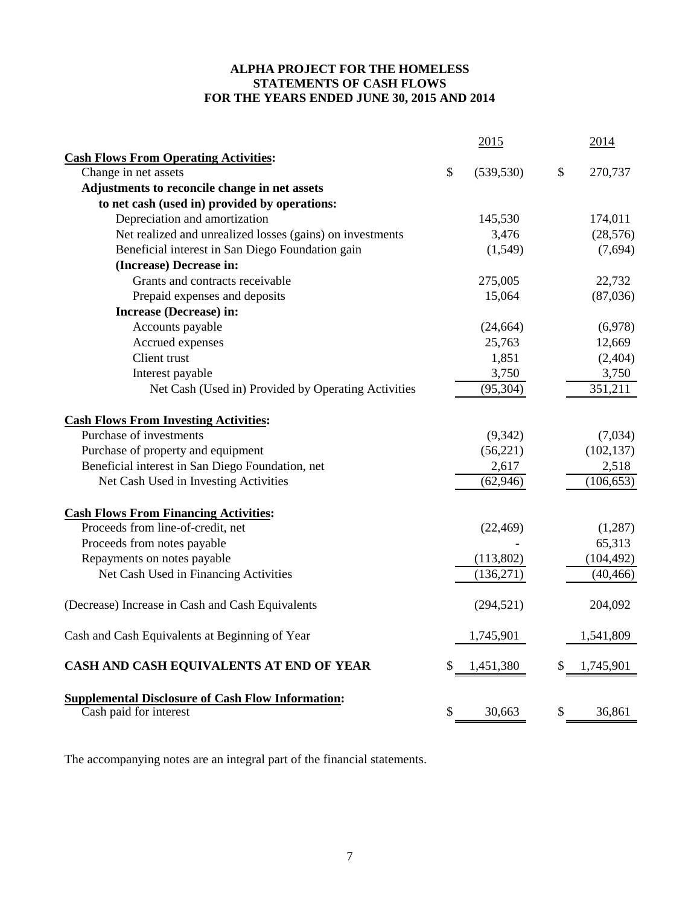# **ALPHA PROJECT FOR THE HOMELESS STATEMENTS OF CASH FLOWS FOR THE YEARS ENDED JUNE 30, 2015 AND 2014**

|                                                                                    | 2015             | 2014          |
|------------------------------------------------------------------------------------|------------------|---------------|
| <b>Cash Flows From Operating Activities:</b>                                       |                  |               |
| Change in net assets                                                               | \$<br>(539, 530) | \$<br>270,737 |
| Adjustments to reconcile change in net assets                                      |                  |               |
| to net cash (used in) provided by operations:                                      |                  |               |
| Depreciation and amortization                                                      | 145,530          | 174,011       |
| Net realized and unrealized losses (gains) on investments                          | 3,476            | (28, 576)     |
| Beneficial interest in San Diego Foundation gain                                   | (1,549)          | (7,694)       |
| (Increase) Decrease in:                                                            |                  |               |
| Grants and contracts receivable                                                    | 275,005          | 22,732        |
| Prepaid expenses and deposits                                                      | 15,064           | (87,036)      |
| Increase (Decrease) in:                                                            |                  |               |
| Accounts payable                                                                   | (24, 664)        | (6,978)       |
| Accrued expenses                                                                   | 25,763           | 12,669        |
| Client trust                                                                       | 1,851            | (2,404)       |
| Interest payable                                                                   | 3,750            | 3,750         |
| Net Cash (Used in) Provided by Operating Activities                                | (95, 304)        | 351,211       |
| <b>Cash Flows From Investing Activities:</b>                                       |                  |               |
| Purchase of investments                                                            | (9,342)          | (7,034)       |
| Purchase of property and equipment                                                 | (56,221)         | (102, 137)    |
| Beneficial interest in San Diego Foundation, net                                   | 2,617            | 2,518         |
| Net Cash Used in Investing Activities                                              | (62, 946)        | (106, 653)    |
| <b>Cash Flows From Financing Activities:</b>                                       |                  |               |
| Proceeds from line-of-credit, net                                                  | (22, 469)        | (1,287)       |
| Proceeds from notes payable                                                        |                  | 65,313        |
| Repayments on notes payable                                                        | (113,802)        | (104, 492)    |
| Net Cash Used in Financing Activities                                              | (136,271)        | (40, 466)     |
| (Decrease) Increase in Cash and Cash Equivalents                                   | (294, 521)       | 204,092       |
| Cash and Cash Equivalents at Beginning of Year                                     | 1,745,901        | 1,541,809     |
| CASH AND CASH EQUIVALENTS AT END OF YEAR                                           | \$<br>1,451,380  | 1,745,901     |
| <b>Supplemental Disclosure of Cash Flow Information:</b><br>Cash paid for interest | \$<br>30,663     | \$<br>36,861  |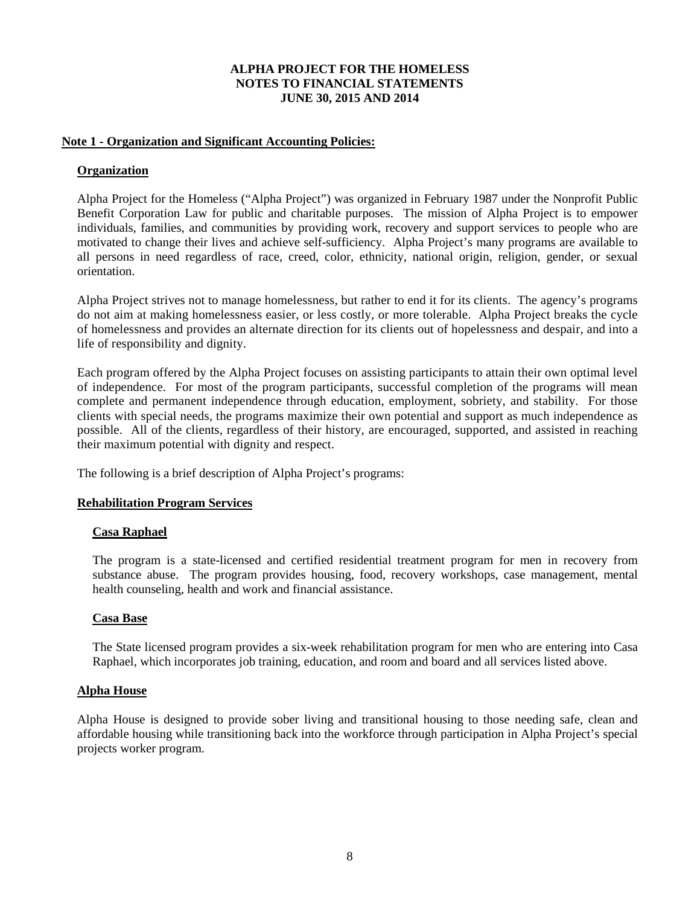# **Note 1 - Organization and Significant Accounting Policies:**

# **Organization**

Alpha Project for the Homeless ("Alpha Project") was organized in February 1987 under the Nonprofit Public Benefit Corporation Law for public and charitable purposes. The mission of Alpha Project is to empower individuals, families, and communities by providing work, recovery and support services to people who are motivated to change their lives and achieve self-sufficiency. Alpha Project's many programs are available to all persons in need regardless of race, creed, color, ethnicity, national origin, religion, gender, or sexual orientation.

Alpha Project strives not to manage homelessness, but rather to end it for its clients. The agency's programs do not aim at making homelessness easier, or less costly, or more tolerable. Alpha Project breaks the cycle of homelessness and provides an alternate direction for its clients out of hopelessness and despair, and into a life of responsibility and dignity.

Each program offered by the Alpha Project focuses on assisting participants to attain their own optimal level of independence. For most of the program participants, successful completion of the programs will mean complete and permanent independence through education, employment, sobriety, and stability. For those clients with special needs, the programs maximize their own potential and support as much independence as possible. All of the clients, regardless of their history, are encouraged, supported, and assisted in reaching their maximum potential with dignity and respect.

The following is a brief description of Alpha Project's programs:

# **Rehabilitation Program Services**

# **Casa Raphael**

The program is a state-licensed and certified residential treatment program for men in recovery from substance abuse. The program provides housing, food, recovery workshops, case management, mental health counseling, health and work and financial assistance.

# **Casa Base**

The State licensed program provides a six-week rehabilitation program for men who are entering into Casa Raphael, which incorporates job training, education, and room and board and all services listed above.

# **Alpha House**

Alpha House is designed to provide sober living and transitional housing to those needing safe, clean and affordable housing while transitioning back into the workforce through participation in Alpha Project's special projects worker program.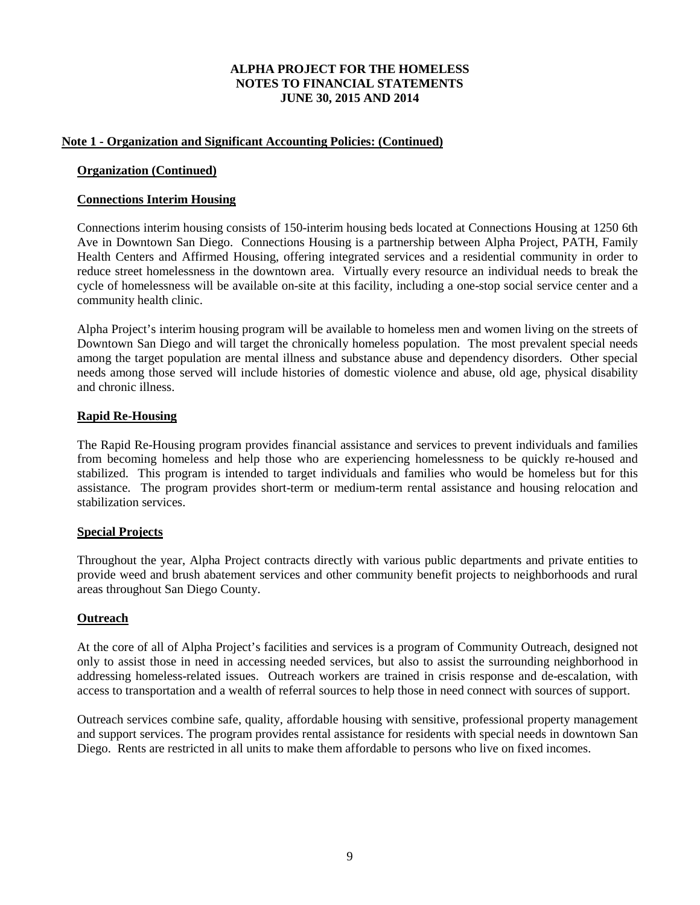# **Note 1 - Organization and Significant Accounting Policies: (Continued)**

# **Organization (Continued)**

# **Connections Interim Housing**

Connections interim housing consists of 150-interim housing beds located at Connections Housing at 1250 6th Ave in Downtown San Diego. Connections Housing is a partnership between Alpha Project, PATH, Family Health Centers and Affirmed Housing, offering integrated services and a residential community in order to reduce street homelessness in the downtown area. Virtually every resource an individual needs to break the cycle of homelessness will be available on-site at this facility, including a one-stop social service center and a community health clinic.

Alpha Project's interim housing program will be available to homeless men and women living on the streets of Downtown San Diego and will target the chronically homeless population. The most prevalent special needs among the target population are mental illness and substance abuse and dependency disorders. Other special needs among those served will include histories of domestic violence and abuse, old age, physical disability and chronic illness.

# **Rapid Re-Housing**

The Rapid Re-Housing program provides financial assistance and services to prevent individuals and families from becoming homeless and help those who are experiencing homelessness to be quickly re-housed and stabilized. This program is intended to target individuals and families who would be homeless but for this assistance. The program provides short-term or medium-term rental assistance and housing relocation and stabilization services.

# **Special Projects**

Throughout the year, Alpha Project contracts directly with various public departments and private entities to provide weed and brush abatement services and other community benefit projects to neighborhoods and rural areas throughout San Diego County.

# **Outreach**

At the core of all of Alpha Project's facilities and services is a program of Community Outreach, designed not only to assist those in need in accessing needed services, but also to assist the surrounding neighborhood in addressing homeless-related issues. Outreach workers are trained in crisis response and de-escalation, with access to transportation and a wealth of referral sources to help those in need connect with sources of support.

Outreach services combine safe, quality, affordable housing with sensitive, professional property management and support services. The program provides rental assistance for residents with special needs in downtown San Diego. Rents are restricted in all units to make them affordable to persons who live on fixed incomes.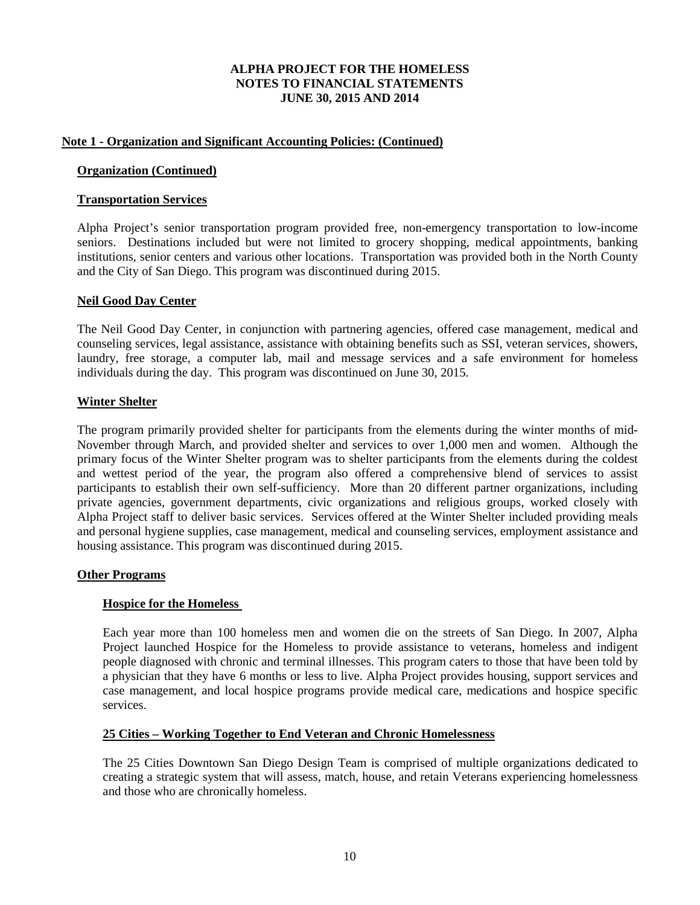# **Note 1 - Organization and Significant Accounting Policies: (Continued)**

#### **Organization (Continued)**

#### **Transportation Services**

Alpha Project's senior transportation program provided free, non-emergency transportation to low-income seniors. Destinations included but were not limited to grocery shopping, medical appointments, banking institutions, senior centers and various other locations. Transportation was provided both in the North County and the City of San Diego. This program was discontinued during 2015.

#### **Neil Good Day Center**

The Neil Good Day Center, in conjunction with partnering agencies, offered case management, medical and counseling services, legal assistance, assistance with obtaining benefits such as SSI, veteran services, showers, laundry, free storage, a computer lab, mail and message services and a safe environment for homeless individuals during the day. This program was discontinued on June 30, 2015.

### **Winter Shelter**

The program primarily provided shelter for participants from the elements during the winter months of mid-November through March, and provided shelter and services to over 1,000 men and women. Although the primary focus of the Winter Shelter program was to shelter participants from the elements during the coldest and wettest period of the year, the program also offered a comprehensive blend of services to assist participants to establish their own self-sufficiency. More than 20 different partner organizations, including private agencies, government departments, civic organizations and religious groups, worked closely with Alpha Project staff to deliver basic services. Services offered at the Winter Shelter included providing meals and personal hygiene supplies, case management, medical and counseling services, employment assistance and housing assistance. This program was discontinued during 2015.

# **Other Programs**

#### **Hospice for the Homeless**

Each year more than 100 homeless men and women die on the streets of San Diego. In 2007, Alpha Project launched Hospice for the Homeless to provide assistance to veterans, homeless and indigent people diagnosed with chronic and terminal illnesses. This program caters to those that have been told by a physician that they have 6 months or less to live. Alpha Project provides housing, support services and case management, and local hospice programs provide medical care, medications and hospice specific services.

# **25 Cities – Working Together to End Veteran and Chronic Homelessness**

The 25 Cities Downtown San Diego Design Team is comprised of multiple organizations dedicated to creating a strategic system that will assess, match, house, and retain Veterans experiencing homelessness and those who are chronically homeless.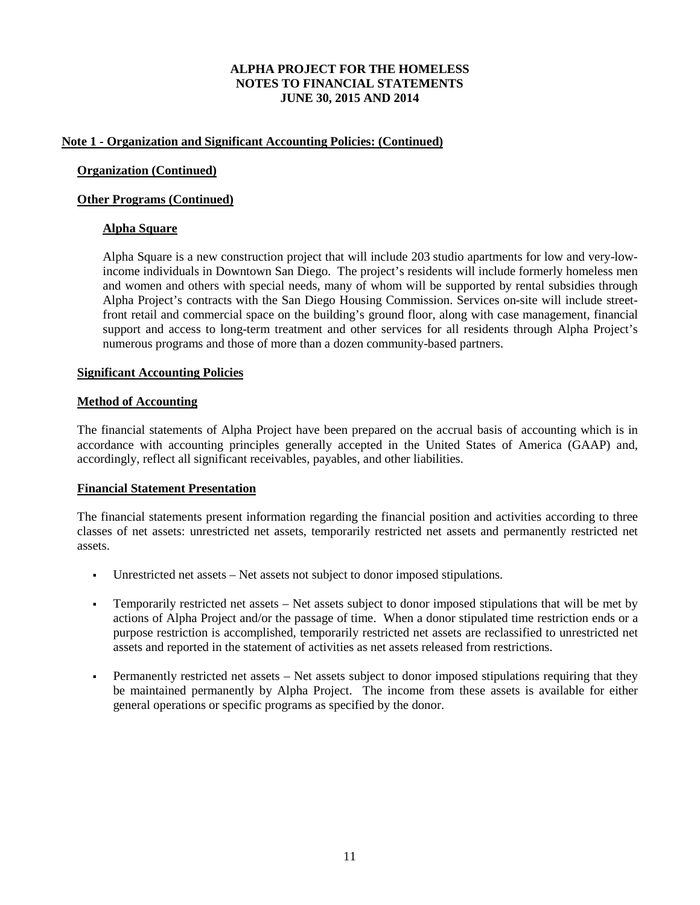# **Note 1 - Organization and Significant Accounting Policies: (Continued)**

# **Organization (Continued)**

# **Other Programs (Continued)**

# **Alpha Square**

Alpha Square is a new construction project that will include 203 studio apartments for low and very-lowincome individuals in Downtown San Diego. The project's residents will include formerly homeless men and women and others with special needs, many of whom will be supported by rental subsidies through Alpha Project's contracts with the San Diego Housing Commission. Services on-site will include streetfront retail and commercial space on the building's ground floor, along with case management, financial support and access to long-term treatment and other services for all residents through Alpha Project's numerous programs and those of more than a dozen community-based partners.

# **Significant Accounting Policies**

# **Method of Accounting**

The financial statements of Alpha Project have been prepared on the accrual basis of accounting which is in accordance with accounting principles generally accepted in the United States of America (GAAP) and, accordingly, reflect all significant receivables, payables, and other liabilities.

# **Financial Statement Presentation**

The financial statements present information regarding the financial position and activities according to three classes of net assets: unrestricted net assets, temporarily restricted net assets and permanently restricted net assets.

- Unrestricted net assets Net assets not subject to donor imposed stipulations.
- Temporarily restricted net assets Net assets subject to donor imposed stipulations that will be met by actions of Alpha Project and/or the passage of time. When a donor stipulated time restriction ends or a purpose restriction is accomplished, temporarily restricted net assets are reclassified to unrestricted net assets and reported in the statement of activities as net assets released from restrictions.
- Permanently restricted net assets Net assets subject to donor imposed stipulations requiring that they be maintained permanently by Alpha Project. The income from these assets is available for either general operations or specific programs as specified by the donor.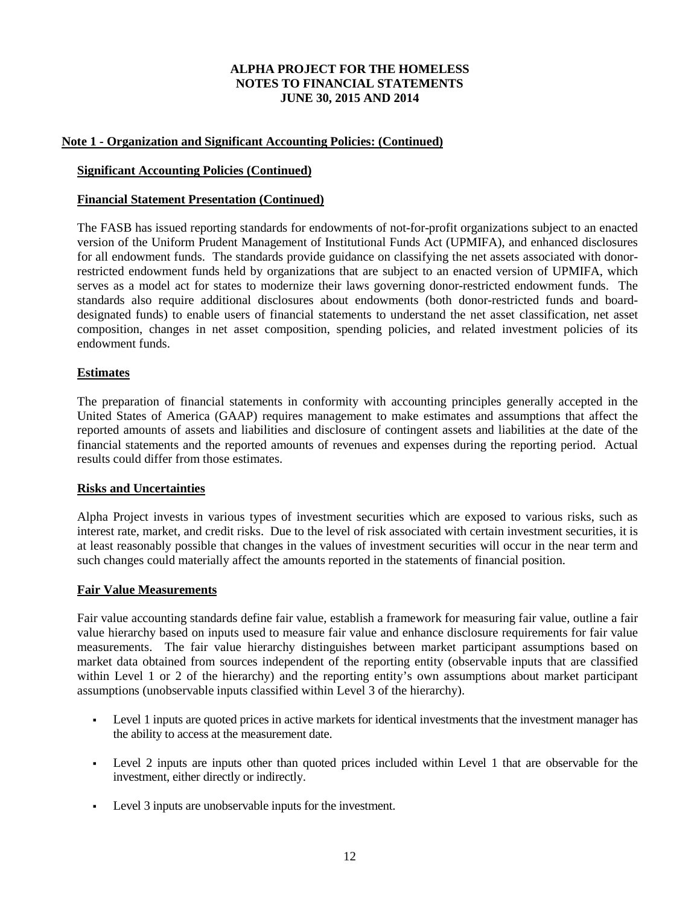# **Note 1 - Organization and Significant Accounting Policies: (Continued)**

### **Significant Accounting Policies (Continued)**

#### **Financial Statement Presentation (Continued)**

The FASB has issued reporting standards for endowments of not-for-profit organizations subject to an enacted version of the Uniform Prudent Management of Institutional Funds Act (UPMIFA), and enhanced disclosures for all endowment funds. The standards provide guidance on classifying the net assets associated with donorrestricted endowment funds held by organizations that are subject to an enacted version of UPMIFA, which serves as a model act for states to modernize their laws governing donor-restricted endowment funds. The standards also require additional disclosures about endowments (both donor-restricted funds and boarddesignated funds) to enable users of financial statements to understand the net asset classification, net asset composition, changes in net asset composition, spending policies, and related investment policies of its endowment funds.

#### **Estimates**

The preparation of financial statements in conformity with accounting principles generally accepted in the United States of America (GAAP) requires management to make estimates and assumptions that affect the reported amounts of assets and liabilities and disclosure of contingent assets and liabilities at the date of the financial statements and the reported amounts of revenues and expenses during the reporting period. Actual results could differ from those estimates.

#### **Risks and Uncertainties**

Alpha Project invests in various types of investment securities which are exposed to various risks, such as interest rate, market, and credit risks. Due to the level of risk associated with certain investment securities, it is at least reasonably possible that changes in the values of investment securities will occur in the near term and such changes could materially affect the amounts reported in the statements of financial position.

#### **Fair Value Measurements**

Fair value accounting standards define fair value, establish a framework for measuring fair value, outline a fair value hierarchy based on inputs used to measure fair value and enhance disclosure requirements for fair value measurements. The fair value hierarchy distinguishes between market participant assumptions based on market data obtained from sources independent of the reporting entity (observable inputs that are classified within Level 1 or 2 of the hierarchy) and the reporting entity's own assumptions about market participant assumptions (unobservable inputs classified within Level 3 of the hierarchy).

- Level 1 inputs are quoted prices in active markets for identical investments that the investment manager has the ability to access at the measurement date.
- Level 2 inputs are inputs other than quoted prices included within Level 1 that are observable for the investment, either directly or indirectly.
- Level 3 inputs are unobservable inputs for the investment.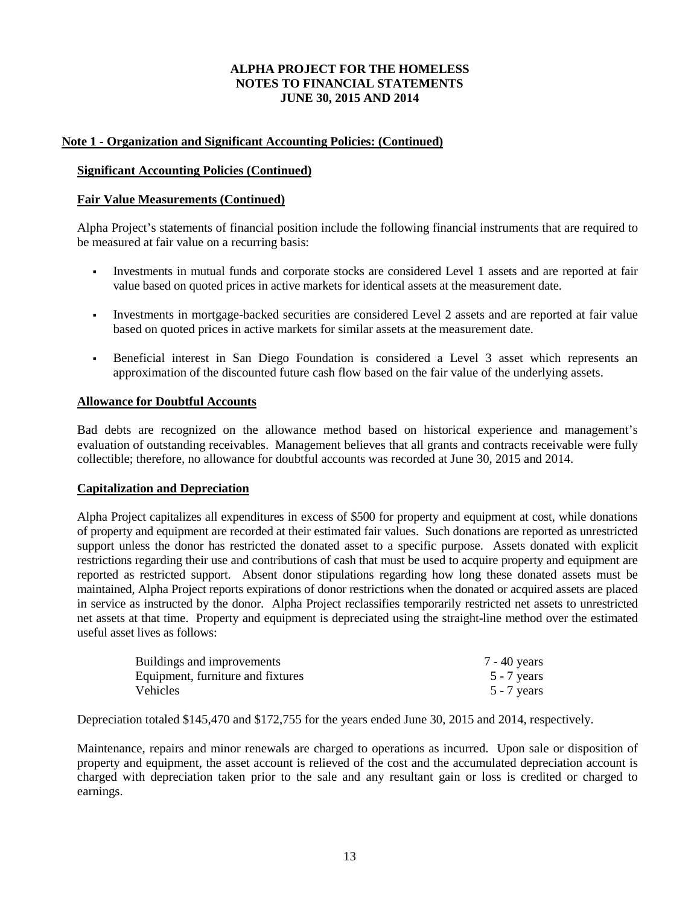# **Note 1 - Organization and Significant Accounting Policies: (Continued)**

# **Significant Accounting Policies (Continued)**

# **Fair Value Measurements (Continued)**

Alpha Project's statements of financial position include the following financial instruments that are required to be measured at fair value on a recurring basis:

- Investments in mutual funds and corporate stocks are considered Level 1 assets and are reported at fair value based on quoted prices in active markets for identical assets at the measurement date.
- Investments in mortgage-backed securities are considered Level 2 assets and are reported at fair value based on quoted prices in active markets for similar assets at the measurement date.
- Beneficial interest in San Diego Foundation is considered a Level 3 asset which represents an approximation of the discounted future cash flow based on the fair value of the underlying assets.

# **Allowance for Doubtful Accounts**

Bad debts are recognized on the allowance method based on historical experience and management's evaluation of outstanding receivables. Management believes that all grants and contracts receivable were fully collectible; therefore, no allowance for doubtful accounts was recorded at June 30, 2015 and 2014.

# **Capitalization and Depreciation**

Alpha Project capitalizes all expenditures in excess of \$500 for property and equipment at cost, while donations of property and equipment are recorded at their estimated fair values. Such donations are reported as unrestricted support unless the donor has restricted the donated asset to a specific purpose. Assets donated with explicit restrictions regarding their use and contributions of cash that must be used to acquire property and equipment are reported as restricted support. Absent donor stipulations regarding how long these donated assets must be maintained, Alpha Project reports expirations of donor restrictions when the donated or acquired assets are placed in service as instructed by the donor. Alpha Project reclassifies temporarily restricted net assets to unrestricted net assets at that time. Property and equipment is depreciated using the straight-line method over the estimated useful asset lives as follows:

| Buildings and improvements        | 7 - 40 years  |
|-----------------------------------|---------------|
| Equipment, furniture and fixtures | $5 - 7$ years |
| Vehicles                          | $5 - 7$ years |

Depreciation totaled \$145,470 and \$172,755 for the years ended June 30, 2015 and 2014, respectively.

Maintenance, repairs and minor renewals are charged to operations as incurred. Upon sale or disposition of property and equipment, the asset account is relieved of the cost and the accumulated depreciation account is charged with depreciation taken prior to the sale and any resultant gain or loss is credited or charged to earnings.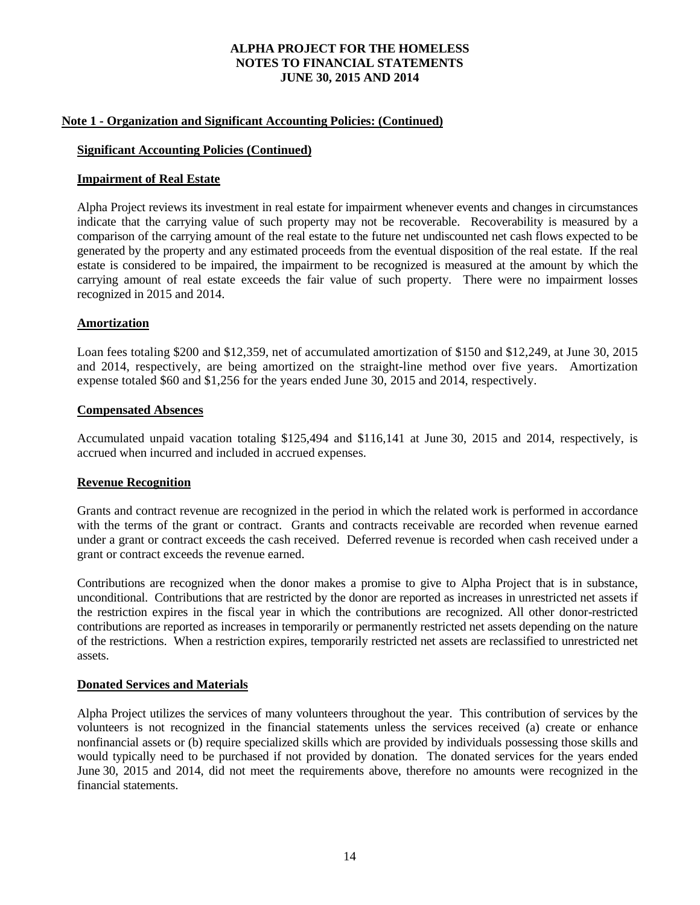#### **Note 1 - Organization and Significant Accounting Policies: (Continued)**

#### **Significant Accounting Policies (Continued)**

#### **Impairment of Real Estate**

Alpha Project reviews its investment in real estate for impairment whenever events and changes in circumstances indicate that the carrying value of such property may not be recoverable. Recoverability is measured by a comparison of the carrying amount of the real estate to the future net undiscounted net cash flows expected to be generated by the property and any estimated proceeds from the eventual disposition of the real estate. If the real estate is considered to be impaired, the impairment to be recognized is measured at the amount by which the carrying amount of real estate exceeds the fair value of such property. There were no impairment losses recognized in 2015 and 2014.

#### **Amortization**

Loan fees totaling \$200 and \$12,359, net of accumulated amortization of \$150 and \$12,249, at June 30, 2015 and 2014, respectively, are being amortized on the straight-line method over five years. Amortization expense totaled \$60 and \$1,256 for the years ended June 30, 2015 and 2014, respectively.

#### **Compensated Absences**

Accumulated unpaid vacation totaling \$125,494 and \$116,141 at June 30, 2015 and 2014, respectively, is accrued when incurred and included in accrued expenses.

#### **Revenue Recognition**

Grants and contract revenue are recognized in the period in which the related work is performed in accordance with the terms of the grant or contract. Grants and contracts receivable are recorded when revenue earned under a grant or contract exceeds the cash received. Deferred revenue is recorded when cash received under a grant or contract exceeds the revenue earned.

Contributions are recognized when the donor makes a promise to give to Alpha Project that is in substance, unconditional. Contributions that are restricted by the donor are reported as increases in unrestricted net assets if the restriction expires in the fiscal year in which the contributions are recognized. All other donor-restricted contributions are reported as increases in temporarily or permanently restricted net assets depending on the nature of the restrictions. When a restriction expires, temporarily restricted net assets are reclassified to unrestricted net assets.

#### **Donated Services and Materials**

Alpha Project utilizes the services of many volunteers throughout the year. This contribution of services by the volunteers is not recognized in the financial statements unless the services received (a) create or enhance nonfinancial assets or (b) require specialized skills which are provided by individuals possessing those skills and would typically need to be purchased if not provided by donation. The donated services for the years ended June 30, 2015 and 2014, did not meet the requirements above, therefore no amounts were recognized in the financial statements.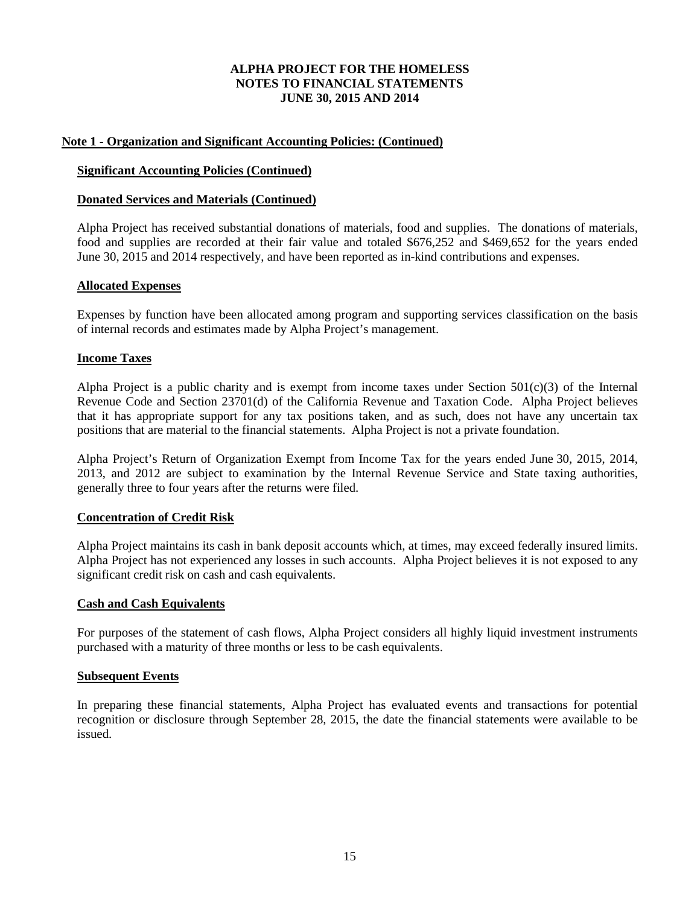# **Note 1 - Organization and Significant Accounting Policies: (Continued)**

### **Significant Accounting Policies (Continued)**

#### **Donated Services and Materials (Continued)**

Alpha Project has received substantial donations of materials, food and supplies. The donations of materials, food and supplies are recorded at their fair value and totaled \$676,252 and \$469,652 for the years ended June 30, 2015 and 2014 respectively, and have been reported as in-kind contributions and expenses.

#### **Allocated Expenses**

Expenses by function have been allocated among program and supporting services classification on the basis of internal records and estimates made by Alpha Project's management.

#### **Income Taxes**

Alpha Project is a public charity and is exempt from income taxes under Section  $501(c)(3)$  of the Internal Revenue Code and Section 23701(d) of the California Revenue and Taxation Code. Alpha Project believes that it has appropriate support for any tax positions taken, and as such, does not have any uncertain tax positions that are material to the financial statements. Alpha Project is not a private foundation.

Alpha Project's Return of Organization Exempt from Income Tax for the years ended June 30, 2015, 2014, 2013, and 2012 are subject to examination by the Internal Revenue Service and State taxing authorities, generally three to four years after the returns were filed.

#### **Concentration of Credit Risk**

Alpha Project maintains its cash in bank deposit accounts which, at times, may exceed federally insured limits. Alpha Project has not experienced any losses in such accounts. Alpha Project believes it is not exposed to any significant credit risk on cash and cash equivalents.

#### **Cash and Cash Equivalents**

For purposes of the statement of cash flows, Alpha Project considers all highly liquid investment instruments purchased with a maturity of three months or less to be cash equivalents.

#### **Subsequent Events**

In preparing these financial statements, Alpha Project has evaluated events and transactions for potential recognition or disclosure through September 28, 2015, the date the financial statements were available to be issued.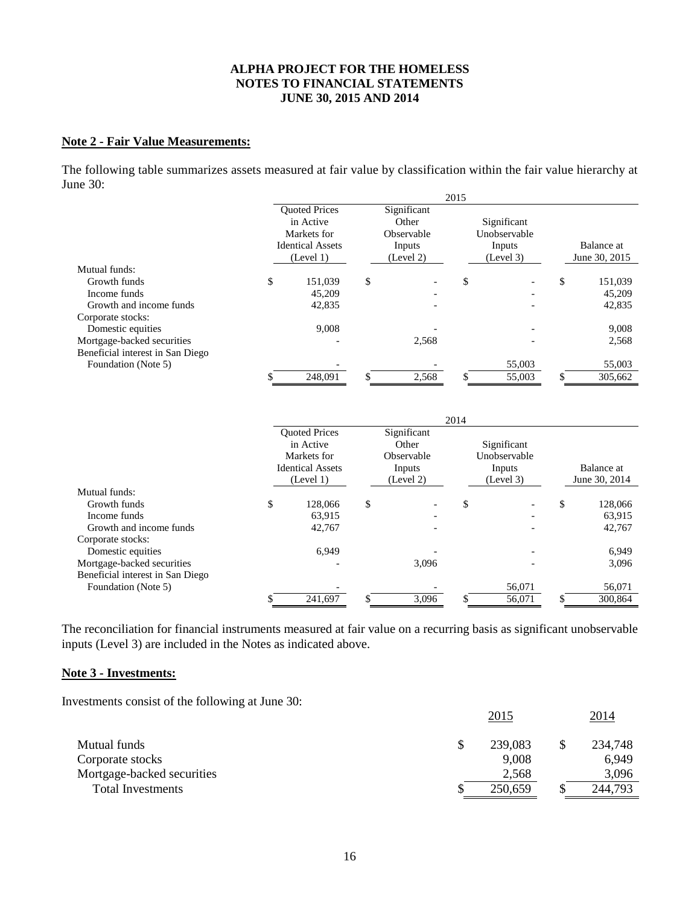#### **Note 2 - Fair Value Measurements:**

The following table summarizes assets measured at fair value by classification within the fair value hierarchy at June 30:

|                                  |             |                         |    |             | 2015 |              |               |
|----------------------------------|-------------|-------------------------|----|-------------|------|--------------|---------------|
|                                  |             | <b>Ouoted Prices</b>    |    | Significant |      |              |               |
|                                  |             | in Active               |    | Other       |      | Significant  |               |
|                                  | Markets for |                         |    | Observable  |      | Unobservable |               |
|                                  |             | <b>Identical Assets</b> |    | Inputs      |      | Inputs       | Balance at    |
|                                  |             | (Level 1)               |    | (Level 2)   |      | (Level 3)    | June 30, 2015 |
| Mutual funds:                    |             |                         |    |             |      |              |               |
| Growth funds                     | \$          | 151,039                 | \$ |             | \$   |              | \$<br>151,039 |
| Income funds                     |             | 45,209                  |    |             |      |              | 45,209        |
| Growth and income funds          |             | 42,835                  |    |             |      |              | 42,835        |
| Corporate stocks:                |             |                         |    |             |      |              |               |
| Domestic equities                |             | 9.008                   |    |             |      |              | 9,008         |
| Mortgage-backed securities       |             |                         |    | 2,568       |      |              | 2,568         |
| Beneficial interest in San Diego |             |                         |    |             |      |              |               |
| Foundation (Note 5)              |             |                         |    |             |      | 55,003       | 55,003        |
|                                  |             | 248,091                 |    | 2,568       |      | 55,003       | 305,662       |

|                                  |                                                                                          |                                                           | 2014 |                                                    |                             |         |  |
|----------------------------------|------------------------------------------------------------------------------------------|-----------------------------------------------------------|------|----------------------------------------------------|-----------------------------|---------|--|
|                                  | <b>Ouoted Prices</b><br>in Active<br>Markets for<br><b>Identical Assets</b><br>(Level 1) | Significant<br>Other<br>Observable<br>Inputs<br>(Level 2) |      | Significant<br>Unobservable<br>Inputs<br>(Level 3) | Balance at<br>June 30, 2014 |         |  |
| Mutual funds:                    |                                                                                          |                                                           |      |                                                    |                             |         |  |
| Growth funds                     | \$<br>128,066                                                                            | \$                                                        | \$   |                                                    | \$                          | 128,066 |  |
| Income funds                     | 63,915                                                                                   |                                                           |      |                                                    |                             | 63,915  |  |
| Growth and income funds          | 42,767                                                                                   |                                                           |      |                                                    |                             | 42,767  |  |
| Corporate stocks:                |                                                                                          |                                                           |      |                                                    |                             |         |  |
| Domestic equities                | 6.949                                                                                    |                                                           |      |                                                    |                             | 6,949   |  |
| Mortgage-backed securities       |                                                                                          | 3,096                                                     |      |                                                    |                             | 3,096   |  |
| Beneficial interest in San Diego |                                                                                          |                                                           |      |                                                    |                             |         |  |
| Foundation (Note 5)              |                                                                                          |                                                           |      | 56,071                                             |                             | 56,071  |  |
|                                  | 241,697                                                                                  | 3.096                                                     |      | 56.071                                             | ъ                           | 300.864 |  |

The reconciliation for financial instruments measured at fair value on a recurring basis as significant unobservable inputs (Level 3) are included in the Notes as indicated above.

# **Note 3 - Investments:**

Investments consist of the following at June 30:

|                            | 2015    | <u>2014</u> |
|----------------------------|---------|-------------|
| Mutual funds               | 239,083 | 234,748     |
| Corporate stocks           | 9,008   | 6,949       |
| Mortgage-backed securities | 2,568   | 3,096       |
| <b>Total Investments</b>   | 250,659 | 244,793     |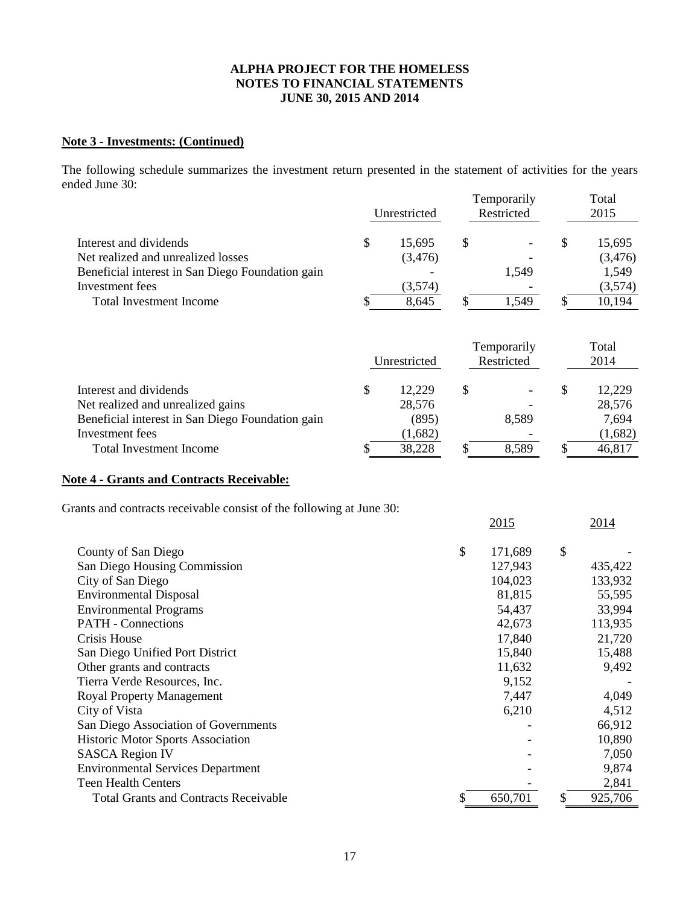# **Note 3 - Investments: (Continued)**

The following schedule summarizes the investment return presented in the statement of activities for the years ended June 30:

|                                                  | Unrestricted |    | Temporarily<br>Restricted | Total<br>2015 |
|--------------------------------------------------|--------------|----|---------------------------|---------------|
| Interest and dividends                           | \$<br>15,695 | \$ |                           | \$<br>15,695  |
| Net realized and unrealized losses               | (3, 476)     |    |                           | (3,476)       |
| Beneficial interest in San Diego Foundation gain |              |    | 1,549                     | 1,549         |
| Investment fees                                  | (3,574)      |    |                           | (3,574)       |
| Total Investment Income                          | 8,645        |    | 1,549                     | 10,194        |
|                                                  | Unrestricted |    | Temporarily<br>Restricted | Total<br>2014 |
| Interest and dividends                           | \$<br>12,229 | \$ |                           | \$<br>12,229  |
| Net realized and unrealized gains                | 28,576       |    |                           | 28,576        |
| Beneficial interest in San Diego Foundation gain | (895)        |    | 8,589                     | 7,694         |
| Investment fees                                  | (1,682)      |    |                           | (1,682)       |
| Total Investment Income                          | 38,228       | J  | 8,589                     | 46,817        |

# **Note 4 - Grants and Contracts Receivable:**

Grants and contracts receivable consist of the following at June 30:

|                                              | 2015          | 2014    |
|----------------------------------------------|---------------|---------|
| County of San Diego                          | \$<br>171,689 | \$      |
| San Diego Housing Commission                 | 127,943       | 435,422 |
| City of San Diego                            | 104,023       | 133,932 |
| <b>Environmental Disposal</b>                | 81,815        | 55,595  |
| <b>Environmental Programs</b>                | 54,437        | 33,994  |
| <b>PATH</b> - Connections                    | 42,673        | 113,935 |
| Crisis House                                 | 17,840        | 21,720  |
| San Diego Unified Port District              | 15,840        | 15,488  |
| Other grants and contracts                   | 11,632        | 9,492   |
| Tierra Verde Resources, Inc.                 | 9,152         |         |
| Royal Property Management                    | 7,447         | 4,049   |
| City of Vista                                | 6,210         | 4,512   |
| San Diego Association of Governments         |               | 66,912  |
| <b>Historic Motor Sports Association</b>     |               | 10,890  |
| <b>SASCA Region IV</b>                       |               | 7,050   |
| <b>Environmental Services Department</b>     |               | 9,874   |
| <b>Teen Health Centers</b>                   |               | 2,841   |
| <b>Total Grants and Contracts Receivable</b> | 650,701       | 925,706 |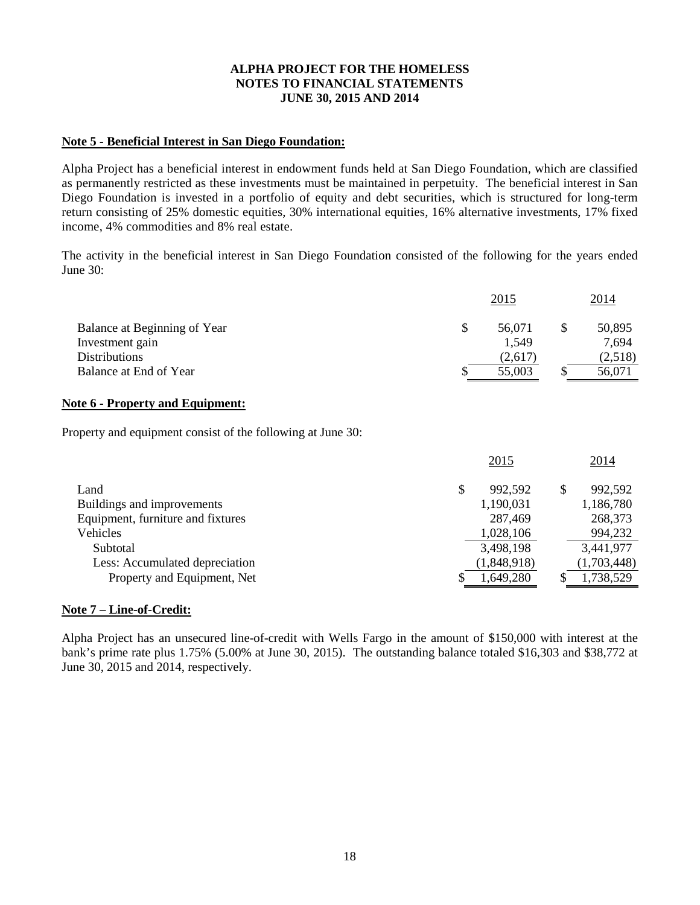# **Note 5 - Beneficial Interest in San Diego Foundation:**

Alpha Project has a beneficial interest in endowment funds held at San Diego Foundation, which are classified as permanently restricted as these investments must be maintained in perpetuity. The beneficial interest in San Diego Foundation is invested in a portfolio of equity and debt securities, which is structured for long-term return consisting of 25% domestic equities, 30% international equities, 16% alternative investments, 17% fixed income, 4% commodities and 8% real estate.

The activity in the beneficial interest in San Diego Foundation consisted of the following for the years ended June 30:

|                              | <u>2015</u> | 2014    |
|------------------------------|-------------|---------|
| Balance at Beginning of Year | 56,071      | 50,895  |
| Investment gain              | 1,549       | 7,694   |
| <b>Distributions</b>         | (2,617)     | (2,518) |
| Balance at End of Year       | 55,003      | 56,071  |

#### **Note 6 - Property and Equipment:**

Property and equipment consist of the following at June 30:

|                                   | 2015        |   | 2014        |
|-----------------------------------|-------------|---|-------------|
| Land                              | 992,592     | S | 992,592     |
| Buildings and improvements        | 1,190,031   |   | 1,186,780   |
| Equipment, furniture and fixtures | 287,469     |   | 268,373     |
| Vehicles                          | 1,028,106   |   | 994,232     |
| Subtotal                          | 3,498,198   |   | 3,441,977   |
| Less: Accumulated depreciation    | (1,848,918) |   | (1,703,448) |
| Property and Equipment, Net       | 1,649,280   |   | 1,738,529   |

# **Note 7 – Line-of-Credit:**

Alpha Project has an unsecured line-of-credit with Wells Fargo in the amount of \$150,000 with interest at the bank's prime rate plus 1.75% (5.00% at June 30, 2015). The outstanding balance totaled \$16,303 and \$38,772 at June 30, 2015 and 2014, respectively.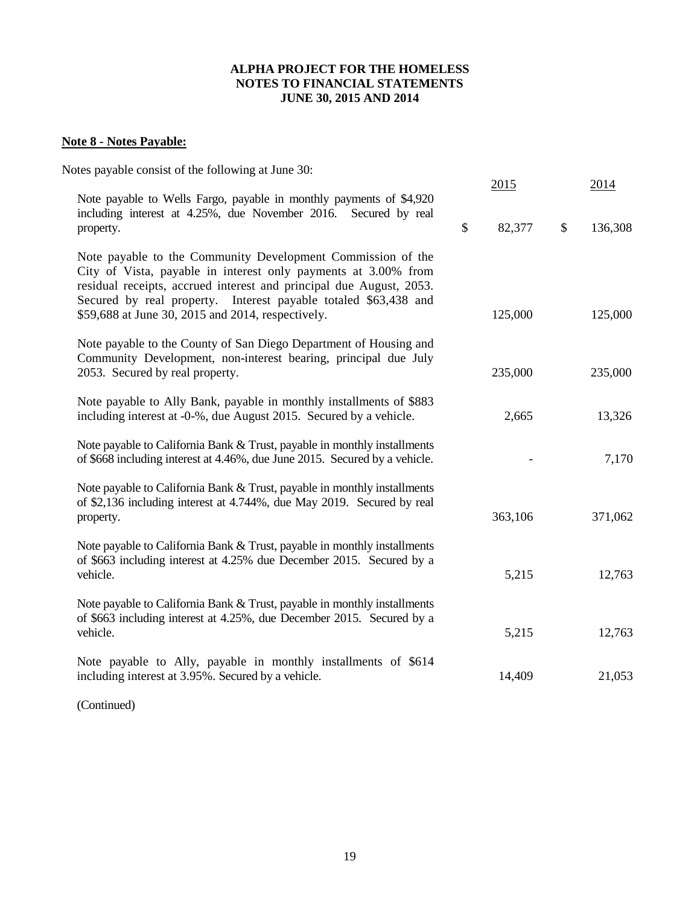# **Note 8 - Notes Payable:**

| Notes payable consist of the following at June 30:                                                                                                                                                                                                                                                                           | 2015         | 2014          |
|------------------------------------------------------------------------------------------------------------------------------------------------------------------------------------------------------------------------------------------------------------------------------------------------------------------------------|--------------|---------------|
| Note payable to Wells Fargo, payable in monthly payments of \$4,920<br>including interest at 4.25%, due November 2016.<br>Secured by real<br>property.                                                                                                                                                                       | \$<br>82,377 | \$<br>136,308 |
| Note payable to the Community Development Commission of the<br>City of Vista, payable in interest only payments at 3.00% from<br>residual receipts, accrued interest and principal due August, 2053.<br>Secured by real property. Interest payable totaled \$63,438 and<br>\$59,688 at June 30, 2015 and 2014, respectively. | 125,000      | 125,000       |
| Note payable to the County of San Diego Department of Housing and<br>Community Development, non-interest bearing, principal due July<br>2053. Secured by real property.                                                                                                                                                      | 235,000      | 235,000       |
| Note payable to Ally Bank, payable in monthly installments of \$883<br>including interest at -0-%, due August 2015. Secured by a vehicle.                                                                                                                                                                                    | 2,665        | 13,326        |
| Note payable to California Bank & Trust, payable in monthly installments<br>of \$668 including interest at 4.46%, due June 2015. Secured by a vehicle.                                                                                                                                                                       |              | 7,170         |
| Note payable to California Bank & Trust, payable in monthly installments<br>of \$2,136 including interest at 4.744%, due May 2019. Secured by real<br>property.                                                                                                                                                              | 363,106      | 371,062       |
| Note payable to California Bank & Trust, payable in monthly installments<br>of \$663 including interest at 4.25% due December 2015. Secured by a<br>vehicle.                                                                                                                                                                 | 5,215        | 12,763        |
| Note payable to California Bank & Trust, payable in monthly installments<br>of \$663 including interest at 4.25%, due December 2015. Secured by a<br>vehicle.                                                                                                                                                                | 5,215        | 12,763        |
| Note payable to Ally, payable in monthly installments of \$614<br>including interest at 3.95%. Secured by a vehicle.                                                                                                                                                                                                         | 14,409       | 21,053        |
|                                                                                                                                                                                                                                                                                                                              |              |               |

(Continued)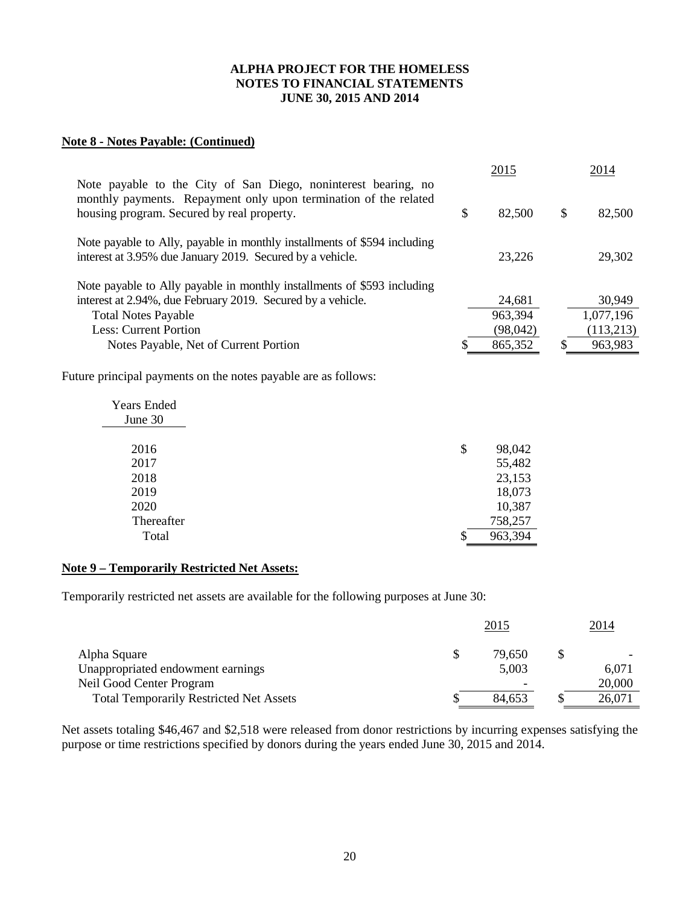# **Note 8 - Notes Payable: (Continued)**

| Note payable to the City of San Diego, noninterest bearing, no                                                                        |    | 2015      | 2014         |
|---------------------------------------------------------------------------------------------------------------------------------------|----|-----------|--------------|
| monthly payments. Repayment only upon termination of the related<br>housing program. Secured by real property.                        | \$ | 82,500    | \$<br>82,500 |
| Note payable to Ally, payable in monthly installments of \$594 including<br>interest at 3.95% due January 2019. Secured by a vehicle. |    | 23,226    | 29,302       |
| Note payable to Ally payable in monthly installments of \$593 including                                                               |    |           |              |
| interest at 2.94%, due February 2019. Secured by a vehicle.                                                                           |    | 24,681    | 30,949       |
| <b>Total Notes Payable</b>                                                                                                            |    | 963,394   | 1,077,196    |
| <b>Less: Current Portion</b>                                                                                                          |    | (98, 042) | (113,213)    |
| Notes Payable, Net of Current Portion                                                                                                 | S  | 865,352   | 963,983      |
| Future principal payments on the notes payable are as follows:                                                                        |    |           |              |
| <b>Years Ended</b>                                                                                                                    |    |           |              |
| June 30                                                                                                                               |    |           |              |
| 2016                                                                                                                                  | \$ | 98,042    |              |
| 2017                                                                                                                                  |    | 55,482    |              |
| 2018                                                                                                                                  |    | 23,153    |              |
| 2019                                                                                                                                  |    | 18,073    |              |
| 2020                                                                                                                                  |    | 10,387    |              |
| Thereafter                                                                                                                            |    | 758,257   |              |
| Total                                                                                                                                 | \$ | 963,394   |              |

# **Note 9 – Temporarily Restricted Net Assets:**

Temporarily restricted net assets are available for the following purposes at June 30:

|                                                |   | <u>2015</u> | 2014   |
|------------------------------------------------|---|-------------|--------|
| Alpha Square                                   | S | 79.650      |        |
| Unappropriated endowment earnings              |   | 5,003       | 6,071  |
| Neil Good Center Program                       |   | -           | 20,000 |
| <b>Total Temporarily Restricted Net Assets</b> |   | 84,653      | 26,071 |

Net assets totaling \$46,467 and \$2,518 were released from donor restrictions by incurring expenses satisfying the purpose or time restrictions specified by donors during the years ended June 30, 2015 and 2014.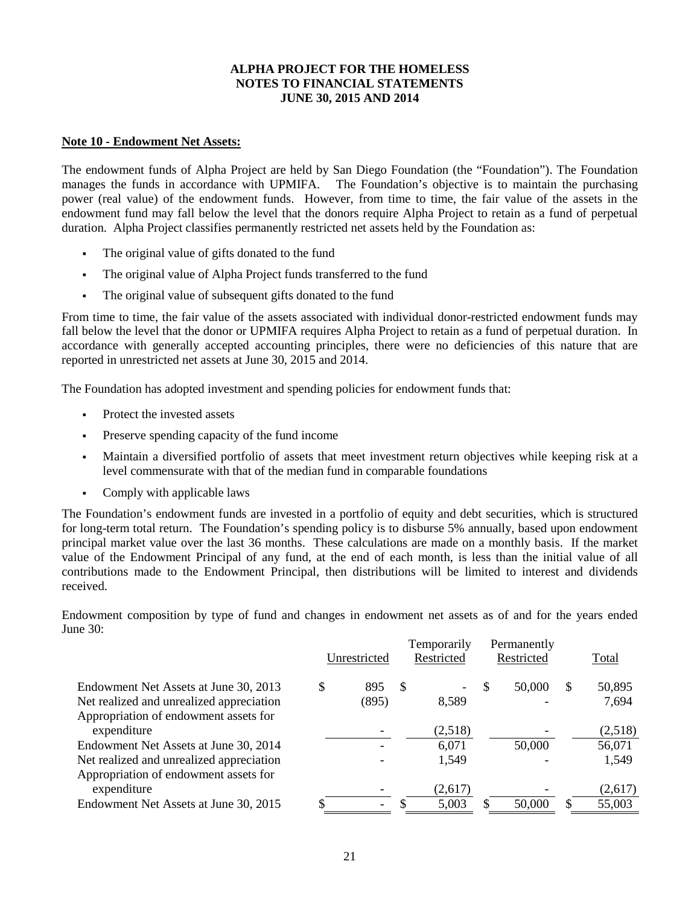#### **Note 10 - Endowment Net Assets:**

The endowment funds of Alpha Project are held by San Diego Foundation (the "Foundation"). The Foundation manages the funds in accordance with UPMIFA. The Foundation's objective is to maintain the purchasing power (real value) of the endowment funds. However, from time to time, the fair value of the assets in the endowment fund may fall below the level that the donors require Alpha Project to retain as a fund of perpetual duration. Alpha Project classifies permanently restricted net assets held by the Foundation as:

- The original value of gifts donated to the fund
- The original value of Alpha Project funds transferred to the fund
- The original value of subsequent gifts donated to the fund

From time to time, the fair value of the assets associated with individual donor-restricted endowment funds may fall below the level that the donor or UPMIFA requires Alpha Project to retain as a fund of perpetual duration. In accordance with generally accepted accounting principles, there were no deficiencies of this nature that are reported in unrestricted net assets at June 30, 2015 and 2014.

The Foundation has adopted investment and spending policies for endowment funds that:

- Protect the invested assets
- Preserve spending capacity of the fund income
- Maintain a diversified portfolio of assets that meet investment return objectives while keeping risk at a level commensurate with that of the median fund in comparable foundations
- Comply with applicable laws

The Foundation's endowment funds are invested in a portfolio of equity and debt securities, which is structured for long-term total return. The Foundation's spending policy is to disburse 5% annually, based upon endowment principal market value over the last 36 months. These calculations are made on a monthly basis. If the market value of the Endowment Principal of any fund, at the end of each month, is less than the initial value of all contributions made to the Endowment Principal, then distributions will be limited to interest and dividends received.

Endowment composition by type of fund and changes in endowment net assets as of and for the years ended June 30:

|                                                      |   | Unrestricted |    | Temporarily<br>Restricted |   | Permanently<br>Restricted |   | Total   |
|------------------------------------------------------|---|--------------|----|---------------------------|---|---------------------------|---|---------|
| Endowment Net Assets at June 30, 2013                | S | 895          | -S |                           | S | 50,000                    | S | 50,895  |
| Net realized and unrealized appreciation             |   | (895)        |    | 8,589                     |   | -                         |   | 7,694   |
| Appropriation of endowment assets for<br>expenditure |   |              |    | (2,518)                   |   |                           |   | (2,518) |
| Endowment Net Assets at June 30, 2014                |   |              |    | 6,071                     |   | 50,000                    |   | 56,071  |
| Net realized and unrealized appreciation             |   |              |    | 1,549                     |   |                           |   | 1,549   |
| Appropriation of endowment assets for                |   |              |    |                           |   |                           |   |         |
| expenditure                                          |   |              |    | (2,617)                   |   |                           |   | (2,617) |
| Endowment Net Assets at June 30, 2015                |   |              |    | 5,003                     | S | 50,000                    |   | 55,003  |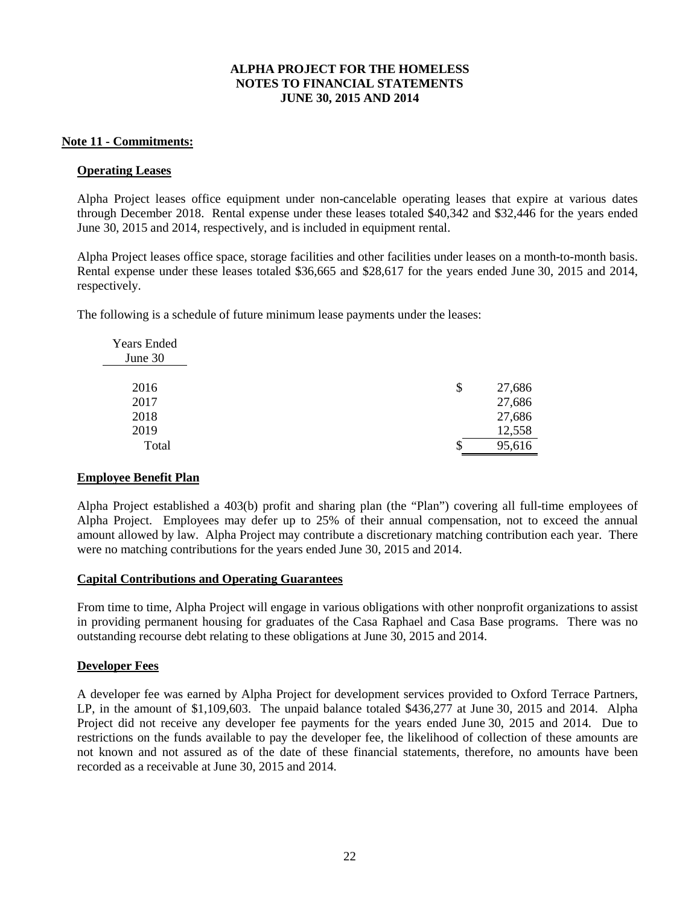## **Note 11 - Commitments:**

### **Operating Leases**

Alpha Project leases office equipment under non-cancelable operating leases that expire at various dates through December 2018. Rental expense under these leases totaled \$40,342 and \$32,446 for the years ended June 30, 2015 and 2014, respectively, and is included in equipment rental.

Alpha Project leases office space, storage facilities and other facilities under leases on a month-to-month basis. Rental expense under these leases totaled \$36,665 and \$28,617 for the years ended June 30, 2015 and 2014, respectively.

The following is a schedule of future minimum lease payments under the leases:

| \$<br>27,686 |
|--------------|
| 27,686       |
| 27,686       |
| 12,558       |
| 95,616       |
|              |

# **Employee Benefit Plan**

Alpha Project established a 403(b) profit and sharing plan (the "Plan") covering all full-time employees of Alpha Project. Employees may defer up to 25% of their annual compensation, not to exceed the annual amount allowed by law. Alpha Project may contribute a discretionary matching contribution each year. There were no matching contributions for the years ended June 30, 2015 and 2014.

# **Capital Contributions and Operating Guarantees**

From time to time, Alpha Project will engage in various obligations with other nonprofit organizations to assist in providing permanent housing for graduates of the Casa Raphael and Casa Base programs. There was no outstanding recourse debt relating to these obligations at June 30, 2015 and 2014.

# **Developer Fees**

A developer fee was earned by Alpha Project for development services provided to Oxford Terrace Partners, LP, in the amount of \$1,109,603. The unpaid balance totaled \$436,277 at June 30, 2015 and 2014. Alpha Project did not receive any developer fee payments for the years ended June 30, 2015 and 2014. Due to restrictions on the funds available to pay the developer fee, the likelihood of collection of these amounts are not known and not assured as of the date of these financial statements, therefore, no amounts have been recorded as a receivable at June 30, 2015 and 2014.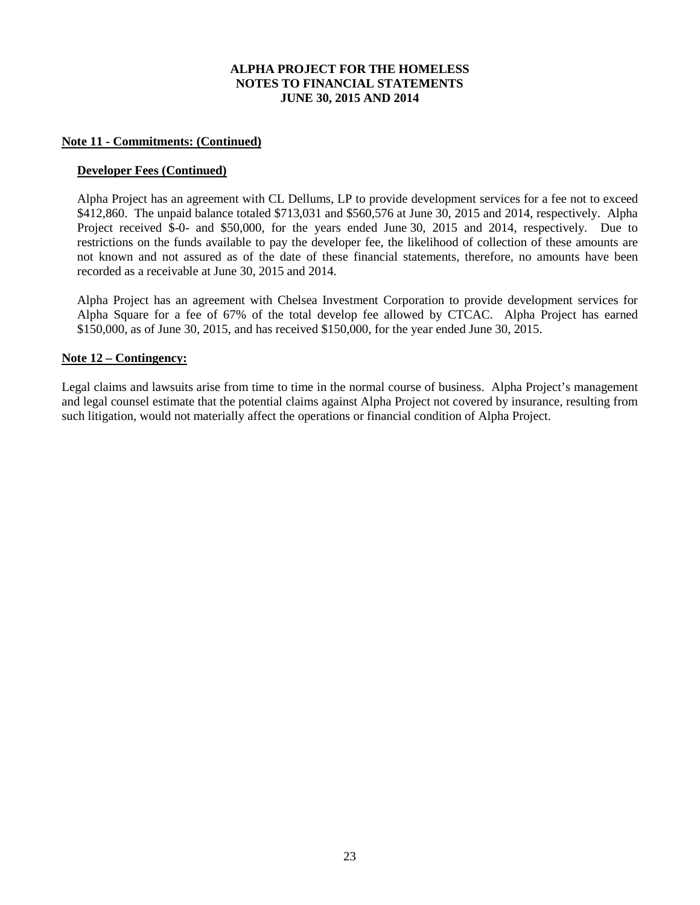#### **Note 11 - Commitments: (Continued)**

#### **Developer Fees (Continued)**

Alpha Project has an agreement with CL Dellums, LP to provide development services for a fee not to exceed \$412,860. The unpaid balance totaled \$713,031 and \$560,576 at June 30, 2015 and 2014, respectively. Alpha Project received \$-0- and \$50,000, for the years ended June 30, 2015 and 2014, respectively. Due to restrictions on the funds available to pay the developer fee, the likelihood of collection of these amounts are not known and not assured as of the date of these financial statements, therefore, no amounts have been recorded as a receivable at June 30, 2015 and 2014.

Alpha Project has an agreement with Chelsea Investment Corporation to provide development services for Alpha Square for a fee of 67% of the total develop fee allowed by CTCAC. Alpha Project has earned \$150,000, as of June 30, 2015, and has received \$150,000, for the year ended June 30, 2015.

# **Note 12 – Contingency:**

Legal claims and lawsuits arise from time to time in the normal course of business. Alpha Project's management and legal counsel estimate that the potential claims against Alpha Project not covered by insurance, resulting from such litigation, would not materially affect the operations or financial condition of Alpha Project.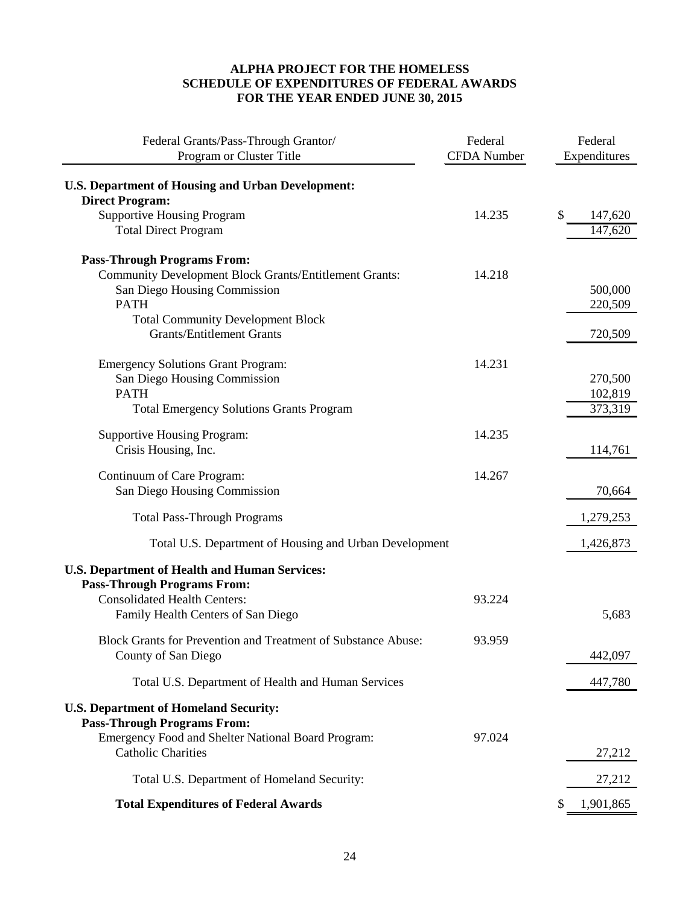# **ALPHA PROJECT FOR THE HOMELESS SCHEDULE OF EXPENDITURES OF FEDERAL AWARDS FOR THE YEAR ENDED JUNE 30, 2015**

| Federal Grants/Pass-Through Grantor/<br>Program or Cluster Title                           | Federal<br><b>CFDA</b> Number | Federal<br>Expenditures |
|--------------------------------------------------------------------------------------------|-------------------------------|-------------------------|
| <b>U.S. Department of Housing and Urban Development:</b>                                   |                               |                         |
| <b>Direct Program:</b>                                                                     |                               |                         |
| <b>Supportive Housing Program</b>                                                          | 14.235                        | \$<br>147,620           |
| <b>Total Direct Program</b>                                                                |                               | 147,620                 |
| <b>Pass-Through Programs From:</b>                                                         |                               |                         |
| <b>Community Development Block Grants/Entitlement Grants:</b>                              | 14.218                        |                         |
| San Diego Housing Commission                                                               |                               | 500,000                 |
| <b>PATH</b>                                                                                |                               | 220,509                 |
| <b>Total Community Development Block</b>                                                   |                               |                         |
| <b>Grants/Entitlement Grants</b>                                                           |                               | 720,509                 |
| <b>Emergency Solutions Grant Program:</b>                                                  | 14.231                        |                         |
| San Diego Housing Commission                                                               |                               | 270,500                 |
| <b>PATH</b>                                                                                |                               | 102,819                 |
| <b>Total Emergency Solutions Grants Program</b>                                            |                               | 373,319                 |
| <b>Supportive Housing Program:</b>                                                         | 14.235                        |                         |
| Crisis Housing, Inc.                                                                       |                               | 114,761                 |
| Continuum of Care Program:                                                                 | 14.267                        |                         |
| San Diego Housing Commission                                                               |                               | 70,664                  |
| <b>Total Pass-Through Programs</b>                                                         |                               | 1,279,253               |
| Total U.S. Department of Housing and Urban Development                                     |                               | 1,426,873               |
| <b>U.S. Department of Health and Human Services:</b><br><b>Pass-Through Programs From:</b> |                               |                         |
| <b>Consolidated Health Centers:</b>                                                        | 93.224                        |                         |
| Family Health Centers of San Diego                                                         |                               | 5,683                   |
|                                                                                            |                               |                         |
| Block Grants for Prevention and Treatment of Substance Abuse:                              | 93.959                        |                         |
| County of San Diego                                                                        |                               | 442,097                 |
| Total U.S. Department of Health and Human Services                                         |                               | 447,780                 |
| <b>U.S. Department of Homeland Security:</b><br><b>Pass-Through Programs From:</b>         |                               |                         |
| Emergency Food and Shelter National Board Program:<br><b>Catholic Charities</b>            | 97.024                        | 27,212                  |
| Total U.S. Department of Homeland Security:                                                |                               | 27,212                  |
| <b>Total Expenditures of Federal Awards</b>                                                |                               | 1,901,865               |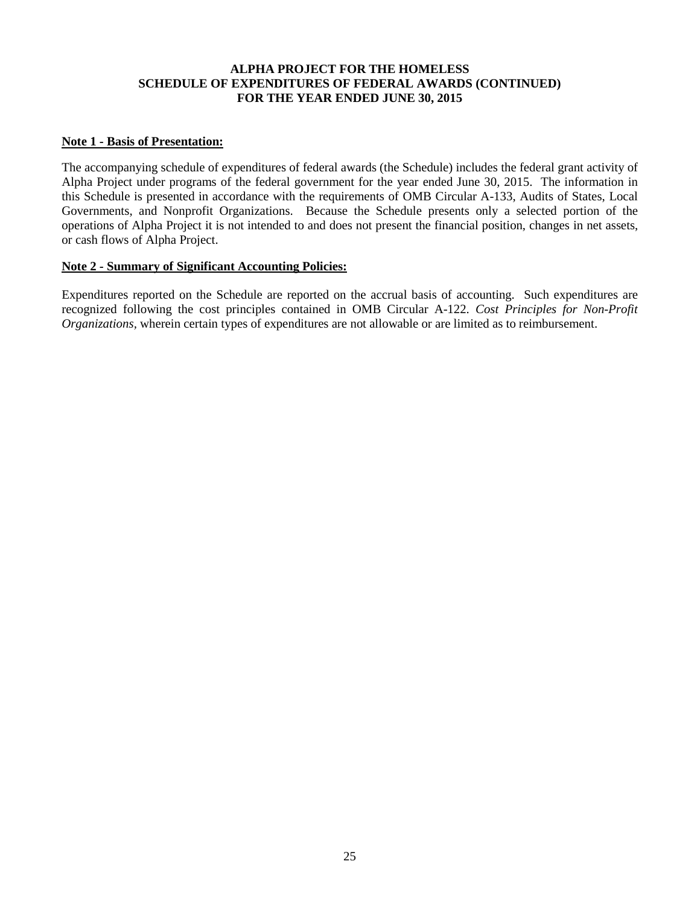# **ALPHA PROJECT FOR THE HOMELESS SCHEDULE OF EXPENDITURES OF FEDERAL AWARDS (CONTINUED) FOR THE YEAR ENDED JUNE 30, 2015**

## **Note 1 - Basis of Presentation:**

The accompanying schedule of expenditures of federal awards (the Schedule) includes the federal grant activity of Alpha Project under programs of the federal government for the year ended June 30, 2015. The information in this Schedule is presented in accordance with the requirements of OMB Circular A-133, Audits of States, Local Governments, and Nonprofit Organizations. Because the Schedule presents only a selected portion of the operations of Alpha Project it is not intended to and does not present the financial position, changes in net assets, or cash flows of Alpha Project.

#### **Note 2 - Summary of Significant Accounting Policies:**

Expenditures reported on the Schedule are reported on the accrual basis of accounting. Such expenditures are recognized following the cost principles contained in OMB Circular A-122. *Cost Principles for Non-Profit Organizations,* wherein certain types of expenditures are not allowable or are limited as to reimbursement.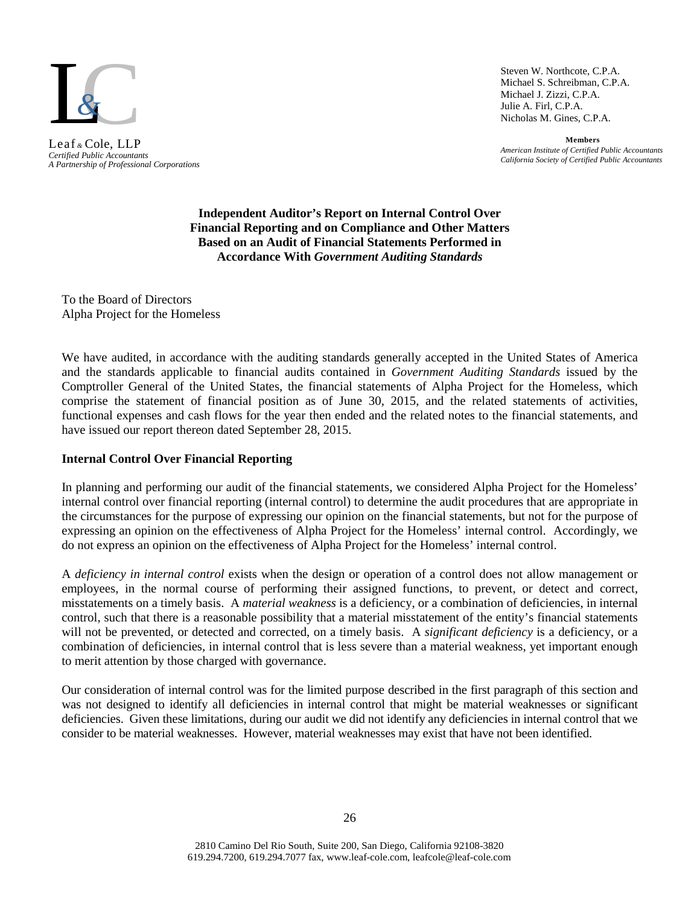

*A Partnership of Professional Corporations* Leaf *&* Cole, LLP

Steven W. Northcote, C.P.A. Michael S. Schreibman, C.P.A. Michael J. Zizzi, C.P.A. Julie A. Firl, C.P.A. Nicholas M. Gines, C.P.A.

**Members** *American Institute of Certified Public Accountants California Society of Certified Public Accountants Certified Public Accountants*

> **Independent Auditor's Report on Internal Control Over Financial Reporting and on Compliance and Other Matters Based on an Audit of Financial Statements Performed in Accordance With** *Government Auditing Standards*

To the Board of Directors Alpha Project for the Homeless

We have audited, in accordance with the auditing standards generally accepted in the United States of America and the standards applicable to financial audits contained in *Government Auditing Standards* issued by the Comptroller General of the United States, the financial statements of Alpha Project for the Homeless, which comprise the statement of financial position as of June 30, 2015, and the related statements of activities, functional expenses and cash flows for the year then ended and the related notes to the financial statements, and have issued our report thereon dated September 28, 2015.

# **Internal Control Over Financial Reporting**

In planning and performing our audit of the financial statements, we considered Alpha Project for the Homeless' internal control over financial reporting (internal control) to determine the audit procedures that are appropriate in the circumstances for the purpose of expressing our opinion on the financial statements, but not for the purpose of expressing an opinion on the effectiveness of Alpha Project for the Homeless' internal control. Accordingly, we do not express an opinion on the effectiveness of Alpha Project for the Homeless' internal control.

A *deficiency in internal control* exists when the design or operation of a control does not allow management or employees, in the normal course of performing their assigned functions, to prevent, or detect and correct, misstatements on a timely basis. A *material weakness* is a deficiency, or a combination of deficiencies, in internal control, such that there is a reasonable possibility that a material misstatement of the entity's financial statements will not be prevented, or detected and corrected, on a timely basis. A *significant deficiency* is a deficiency, or a combination of deficiencies, in internal control that is less severe than a material weakness, yet important enough to merit attention by those charged with governance.

Our consideration of internal control was for the limited purpose described in the first paragraph of this section and was not designed to identify all deficiencies in internal control that might be material weaknesses or significant deficiencies. Given these limitations, during our audit we did not identify any deficiencies in internal control that we consider to be material weaknesses. However, material weaknesses may exist that have not been identified.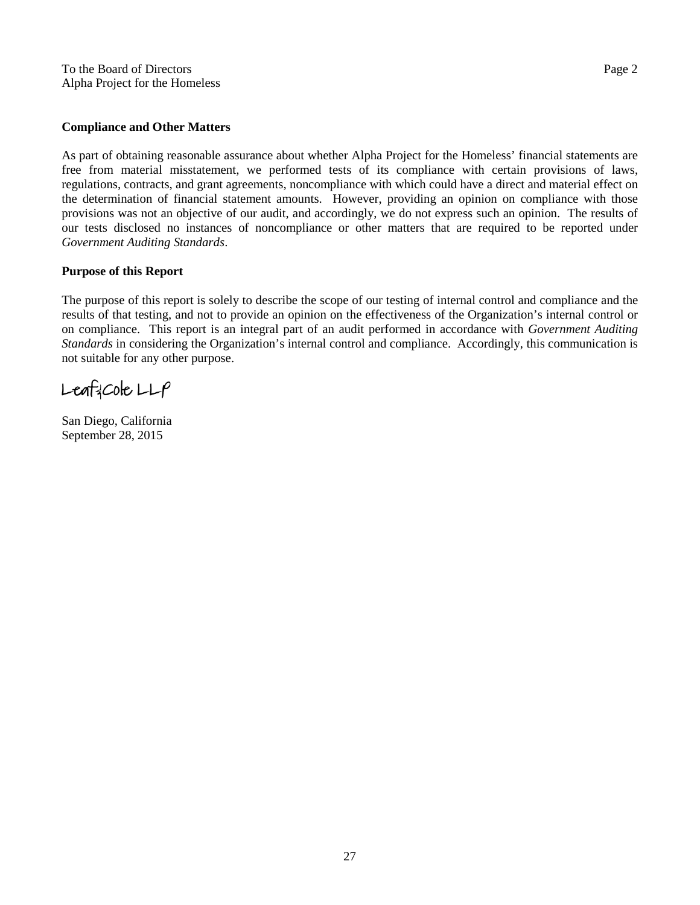#### **Compliance and Other Matters**

As part of obtaining reasonable assurance about whether Alpha Project for the Homeless' financial statements are free from material misstatement, we performed tests of its compliance with certain provisions of laws, regulations, contracts, and grant agreements, noncompliance with which could have a direct and material effect on the determination of financial statement amounts. However, providing an opinion on compliance with those provisions was not an objective of our audit, and accordingly, we do not express such an opinion. The results of our tests disclosed no instances of noncompliance or other matters that are required to be reported under *Government Auditing Standards*.

#### **Purpose of this Report**

The purpose of this report is solely to describe the scope of our testing of internal control and compliance and the results of that testing, and not to provide an opinion on the effectiveness of the Organization's internal control or on compliance. This report is an integral part of an audit performed in accordance with *Government Auditing Standards* in considering the Organization's internal control and compliance. Accordingly, this communication is not suitable for any other purpose.

 $L$ eaf $2C$ ole  $LLP$ 

San Diego, California September 28, 2015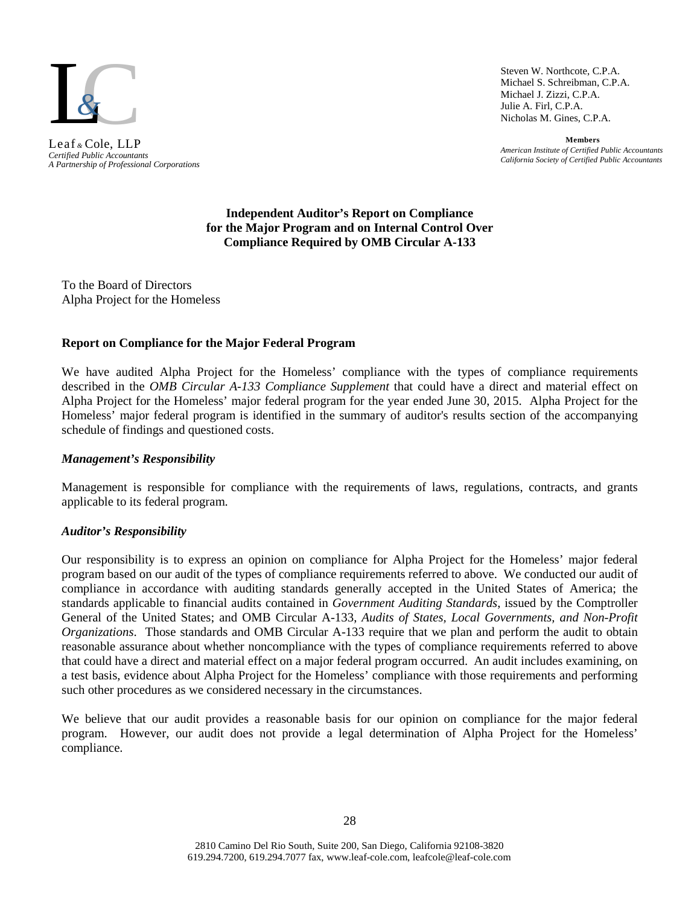

*A Partnership of Professional Corporations* Leaf *&* Cole, LLP

Steven W. Northcote, C.P.A. Michael S. Schreibman, C.P.A. Michael J. Zizzi, C.P.A. Julie A. Firl, C.P.A. Nicholas M. Gines, C.P.A.

**Members** *American Institute of Certified Public Accountants California Society of Certified Public Accountants Certified Public Accountants*

#### **Independent Auditor's Report on Compliance for the Major Program and on Internal Control Over Compliance Required by OMB Circular A-133**

To the Board of Directors Alpha Project for the Homeless

# **Report on Compliance for the Major Federal Program**

We have audited Alpha Project for the Homeless' compliance with the types of compliance requirements described in the *OMB Circular A-133 Compliance Supplement* that could have a direct and material effect on Alpha Project for the Homeless' major federal program for the year ended June 30, 2015. Alpha Project for the Homeless' major federal program is identified in the summary of auditor's results section of the accompanying schedule of findings and questioned costs.

## *Management's Responsibility*

Management is responsible for compliance with the requirements of laws, regulations, contracts, and grants applicable to its federal program.

# *Auditor's Responsibility*

Our responsibility is to express an opinion on compliance for Alpha Project for the Homeless' major federal program based on our audit of the types of compliance requirements referred to above. We conducted our audit of compliance in accordance with auditing standards generally accepted in the United States of America; the standards applicable to financial audits contained in *Government Auditing Standards*, issued by the Comptroller General of the United States; and OMB Circular A-133, *Audits of States, Local Governments, and Non-Profit Organizations*. Those standards and OMB Circular A-133 require that we plan and perform the audit to obtain reasonable assurance about whether noncompliance with the types of compliance requirements referred to above that could have a direct and material effect on a major federal program occurred. An audit includes examining, on a test basis, evidence about Alpha Project for the Homeless' compliance with those requirements and performing such other procedures as we considered necessary in the circumstances.

We believe that our audit provides a reasonable basis for our opinion on compliance for the major federal program. However, our audit does not provide a legal determination of Alpha Project for the Homeless' compliance.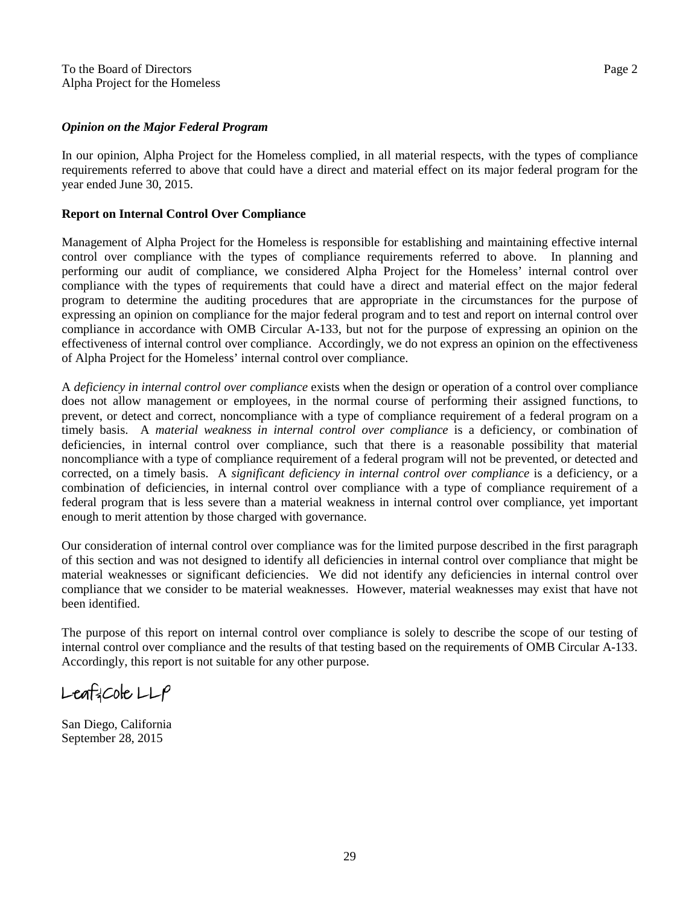#### *Opinion on the Major Federal Program*

In our opinion, Alpha Project for the Homeless complied, in all material respects, with the types of compliance requirements referred to above that could have a direct and material effect on its major federal program for the year ended June 30, 2015.

# **Report on Internal Control Over Compliance**

Management of Alpha Project for the Homeless is responsible for establishing and maintaining effective internal control over compliance with the types of compliance requirements referred to above. In planning and performing our audit of compliance, we considered Alpha Project for the Homeless' internal control over compliance with the types of requirements that could have a direct and material effect on the major federal program to determine the auditing procedures that are appropriate in the circumstances for the purpose of expressing an opinion on compliance for the major federal program and to test and report on internal control over compliance in accordance with OMB Circular A-133, but not for the purpose of expressing an opinion on the effectiveness of internal control over compliance. Accordingly, we do not express an opinion on the effectiveness of Alpha Project for the Homeless' internal control over compliance.

A *deficiency in internal control over compliance* exists when the design or operation of a control over compliance does not allow management or employees, in the normal course of performing their assigned functions, to prevent, or detect and correct, noncompliance with a type of compliance requirement of a federal program on a timely basis. A *material weakness in internal control over compliance* is a deficiency, or combination of deficiencies, in internal control over compliance, such that there is a reasonable possibility that material noncompliance with a type of compliance requirement of a federal program will not be prevented, or detected and corrected, on a timely basis. A *significant deficiency in internal control over compliance* is a deficiency, or a combination of deficiencies, in internal control over compliance with a type of compliance requirement of a federal program that is less severe than a material weakness in internal control over compliance, yet important enough to merit attention by those charged with governance.

Our consideration of internal control over compliance was for the limited purpose described in the first paragraph of this section and was not designed to identify all deficiencies in internal control over compliance that might be material weaknesses or significant deficiencies. We did not identify any deficiencies in internal control over compliance that we consider to be material weaknesses. However, material weaknesses may exist that have not been identified.

The purpose of this report on internal control over compliance is solely to describe the scope of our testing of internal control over compliance and the results of that testing based on the requirements of OMB Circular A-133. Accordingly, this report is not suitable for any other purpose.

 $L$ eaf $2C$ ole  $LLP$ 

San Diego, California September 28, 2015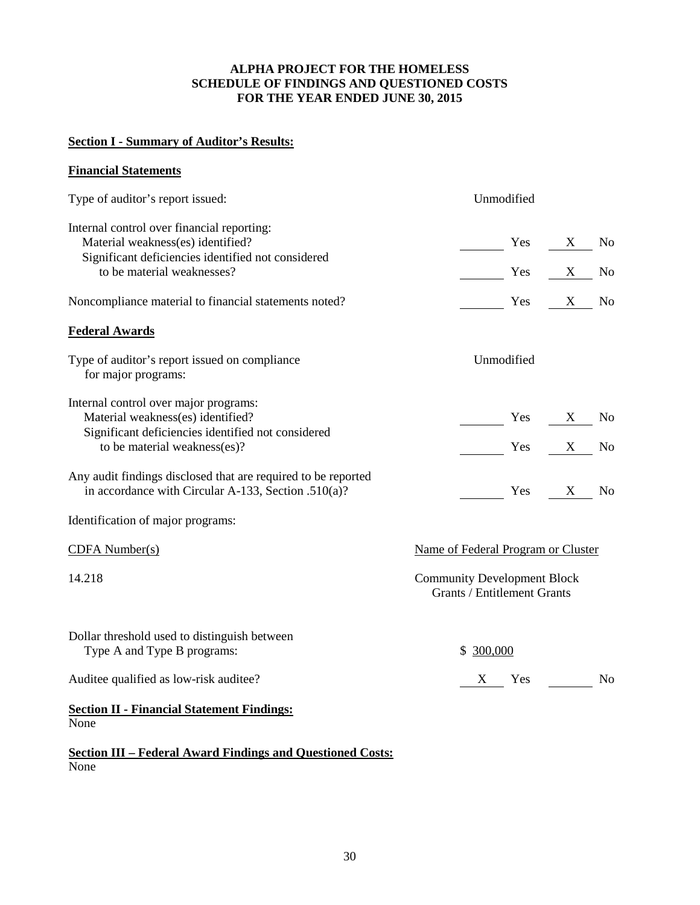# **ALPHA PROJECT FOR THE HOMELESS SCHEDULE OF FINDINGS AND QUESTIONED COSTS FOR THE YEAR ENDED JUNE 30, 2015**

# **Section I - Summary of Auditor's Results:**

# **Financial Statements**

| Type of auditor's report issued:                                                                                                      | Unmodified                                                               |                |
|---------------------------------------------------------------------------------------------------------------------------------------|--------------------------------------------------------------------------|----------------|
| Internal control over financial reporting:<br>Material weakness(es) identified?<br>Significant deficiencies identified not considered | $Yes$ X No                                                               |                |
| to be material weaknesses?                                                                                                            | $Yes$ X No                                                               |                |
| Noncompliance material to financial statements noted?                                                                                 | Yes X No                                                                 |                |
| <b>Federal Awards</b>                                                                                                                 |                                                                          |                |
| Type of auditor's report issued on compliance<br>for major programs:                                                                  | Unmodified                                                               |                |
| Internal control over major programs:<br>Material weakness(es) identified?<br>Significant deficiencies identified not considered      | $Yes$ X No                                                               |                |
| to be material weakness(es)?                                                                                                          | $Yes$ X No                                                               |                |
| Any audit findings disclosed that are required to be reported<br>in accordance with Circular A-133, Section .510(a)?                  | $\frac{1}{1}$ Yes $\frac{X}{1}$ No                                       |                |
| Identification of major programs:                                                                                                     |                                                                          |                |
| $CDFA$ Number(s)                                                                                                                      | Name of Federal Program or Cluster                                       |                |
| 14.218                                                                                                                                | <b>Community Development Block</b><br><b>Grants / Entitlement Grants</b> |                |
| Dollar threshold used to distinguish between<br>Type A and Type B programs:                                                           | \$300,000                                                                |                |
| Auditee qualified as low-risk auditee?                                                                                                | $X$ Yes                                                                  | N <sub>o</sub> |
| <b>Section II - Financial Statement Findings:</b><br>None                                                                             |                                                                          |                |

**Section III – Federal Award Findings and Questioned Costs:** None